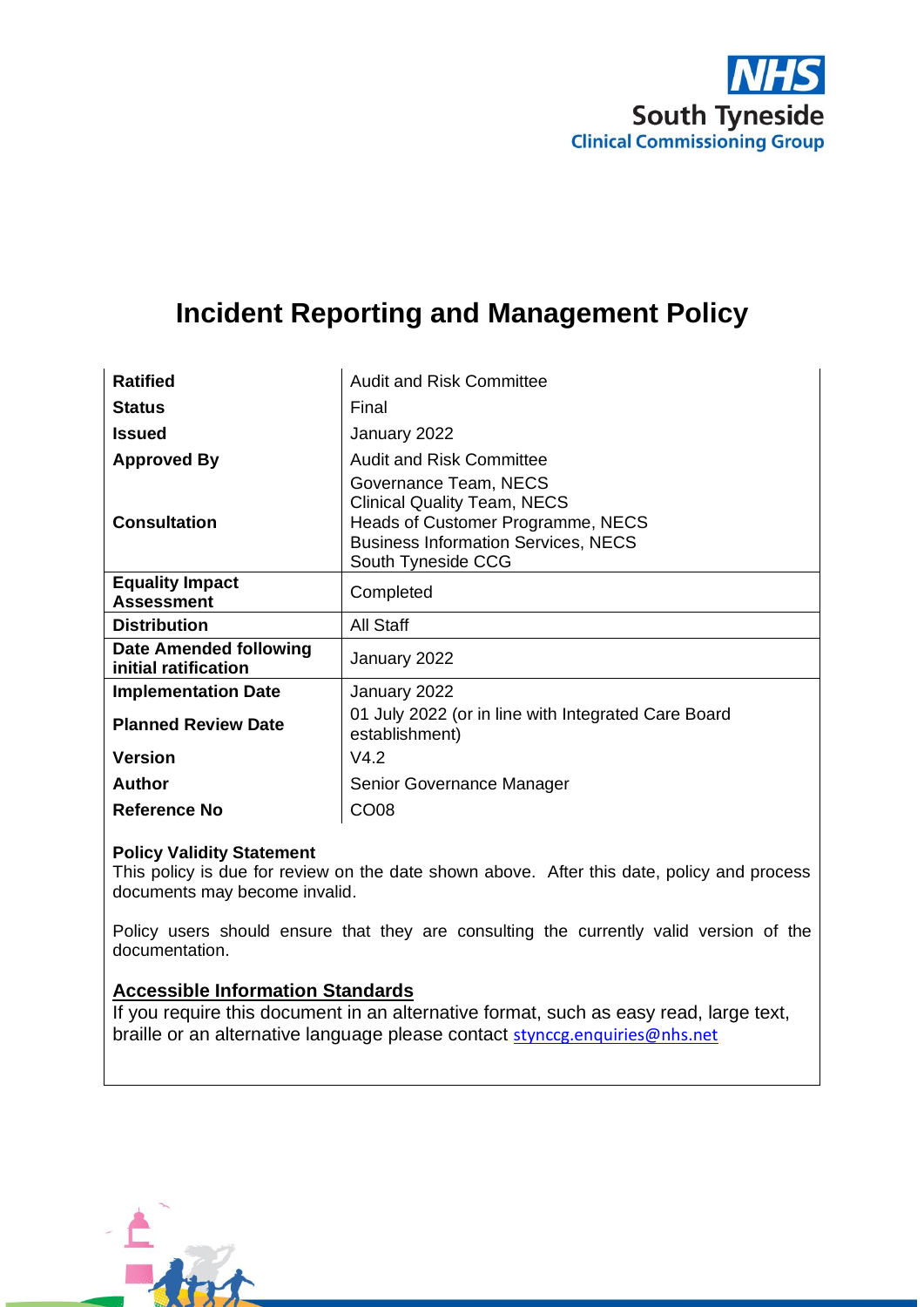

# **Incident Reporting and Management Policy**

| <b>Ratified</b>                                | <b>Audit and Risk Committee</b>                                                                                                                                      |  |
|------------------------------------------------|----------------------------------------------------------------------------------------------------------------------------------------------------------------------|--|
| <b>Status</b>                                  | Final                                                                                                                                                                |  |
| <b>Issued</b>                                  | January 2022                                                                                                                                                         |  |
| <b>Approved By</b>                             | <b>Audit and Risk Committee</b>                                                                                                                                      |  |
| <b>Consultation</b>                            | Governance Team, NECS<br><b>Clinical Quality Team, NECS</b><br>Heads of Customer Programme, NECS<br><b>Business Information Services, NECS</b><br>South Tyneside CCG |  |
| <b>Equality Impact</b><br><b>Assessment</b>    | Completed                                                                                                                                                            |  |
| <b>Distribution</b>                            | <b>All Staff</b>                                                                                                                                                     |  |
| Date Amended following<br>initial ratification | January 2022                                                                                                                                                         |  |
| <b>Implementation Date</b>                     | January 2022                                                                                                                                                         |  |
| <b>Planned Review Date</b>                     | 01 July 2022 (or in line with Integrated Care Board<br>establishment)                                                                                                |  |
| <b>Version</b>                                 | V4.2                                                                                                                                                                 |  |
| <b>Author</b>                                  | Senior Governance Manager                                                                                                                                            |  |
| <b>Reference No</b>                            | CO <sub>08</sub>                                                                                                                                                     |  |
|                                                |                                                                                                                                                                      |  |

#### **Policy Validity Statement**

This policy is due for review on the date shown above. After this date, policy and process documents may become invalid.

Policy users should ensure that they are consulting the currently valid version of the documentation.

#### **Accessible Information Standards**

If you require this document in an alternative format, such as easy read, large text, braille or an alternative language please contact [stynccg.enquiries@nhs.net](mailto:stynccg.enquiries@nhs.net)

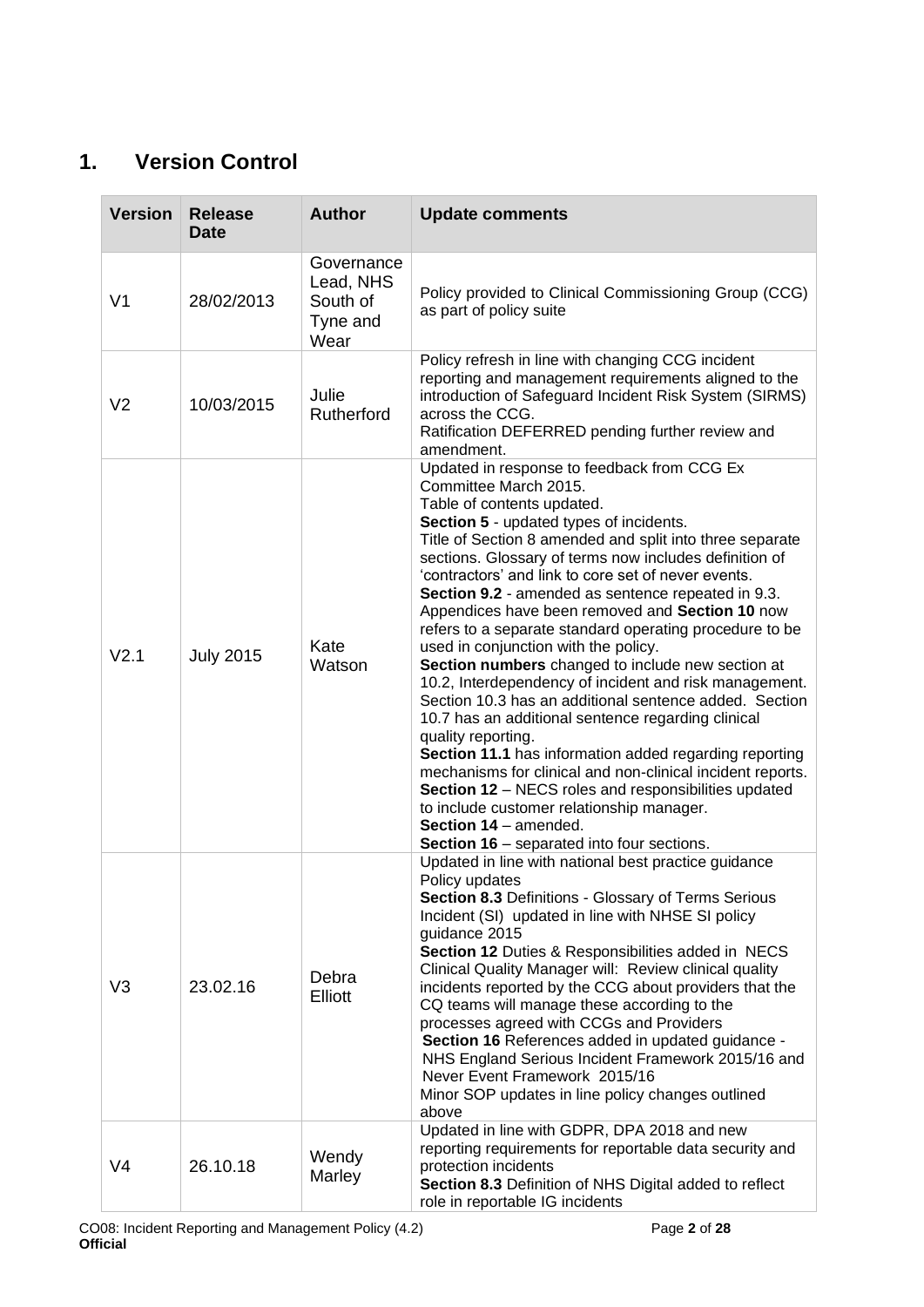### <span id="page-1-0"></span>**1. Version Control**

| <b>Version</b>   | <b>Release</b><br><b>Date</b> | <b>Author</b>                                           | <b>Update comments</b>                                                                                                                                                                                                                                                                                                                                                                                                                                                                                                                                                                                                                                                                                                                                                                                                                                                                                                                                                                                                                                                                          |  |
|------------------|-------------------------------|---------------------------------------------------------|-------------------------------------------------------------------------------------------------------------------------------------------------------------------------------------------------------------------------------------------------------------------------------------------------------------------------------------------------------------------------------------------------------------------------------------------------------------------------------------------------------------------------------------------------------------------------------------------------------------------------------------------------------------------------------------------------------------------------------------------------------------------------------------------------------------------------------------------------------------------------------------------------------------------------------------------------------------------------------------------------------------------------------------------------------------------------------------------------|--|
| V <sub>1</sub>   | 28/02/2013                    | Governance<br>Lead, NHS<br>South of<br>Tyne and<br>Wear | Policy provided to Clinical Commissioning Group (CCG)<br>as part of policy suite                                                                                                                                                                                                                                                                                                                                                                                                                                                                                                                                                                                                                                                                                                                                                                                                                                                                                                                                                                                                                |  |
| V <sub>2</sub>   | 10/03/2015                    | Julie<br>Rutherford                                     | Policy refresh in line with changing CCG incident<br>reporting and management requirements aligned to the<br>introduction of Safeguard Incident Risk System (SIRMS)<br>across the CCG.<br>Ratification DEFERRED pending further review and<br>amendment.                                                                                                                                                                                                                                                                                                                                                                                                                                                                                                                                                                                                                                                                                                                                                                                                                                        |  |
| V <sub>2.1</sub> | <b>July 2015</b>              | Kate<br>Watson                                          | Updated in response to feedback from CCG Ex<br>Committee March 2015.<br>Table of contents updated.<br>Section 5 - updated types of incidents.<br>Title of Section 8 amended and split into three separate<br>sections. Glossary of terms now includes definition of<br>'contractors' and link to core set of never events.<br>Section 9.2 - amended as sentence repeated in 9.3.<br>Appendices have been removed and Section 10 now<br>refers to a separate standard operating procedure to be<br>used in conjunction with the policy.<br>Section numbers changed to include new section at<br>10.2, Interdependency of incident and risk management.<br>Section 10.3 has an additional sentence added. Section<br>10.7 has an additional sentence regarding clinical<br>quality reporting.<br>Section 11.1 has information added regarding reporting<br>mechanisms for clinical and non-clinical incident reports.<br>Section 12 - NECS roles and responsibilities updated<br>to include customer relationship manager.<br>Section 14 - amended.<br>Section 16 - separated into four sections. |  |
| V <sub>3</sub>   | 23.02.16                      | Debra<br>Elliott                                        | Updated in line with national best practice guidance<br>Policy updates<br>Section 8.3 Definitions - Glossary of Terms Serious<br>Incident (SI) updated in line with NHSE SI policy<br>guidance 2015<br>Section 12 Duties & Responsibilities added in NECS<br>Clinical Quality Manager will: Review clinical quality<br>incidents reported by the CCG about providers that the<br>CQ teams will manage these according to the<br>processes agreed with CCGs and Providers<br>Section 16 References added in updated guidance -<br>NHS England Serious Incident Framework 2015/16 and<br>Never Event Framework 2015/16<br>Minor SOP updates in line policy changes outlined<br>above                                                                                                                                                                                                                                                                                                                                                                                                              |  |
| V <sub>4</sub>   | 26.10.18                      | Wendy<br>Marley                                         | Updated in line with GDPR, DPA 2018 and new<br>reporting requirements for reportable data security and<br>protection incidents<br>Section 8.3 Definition of NHS Digital added to reflect<br>role in reportable IG incidents                                                                                                                                                                                                                                                                                                                                                                                                                                                                                                                                                                                                                                                                                                                                                                                                                                                                     |  |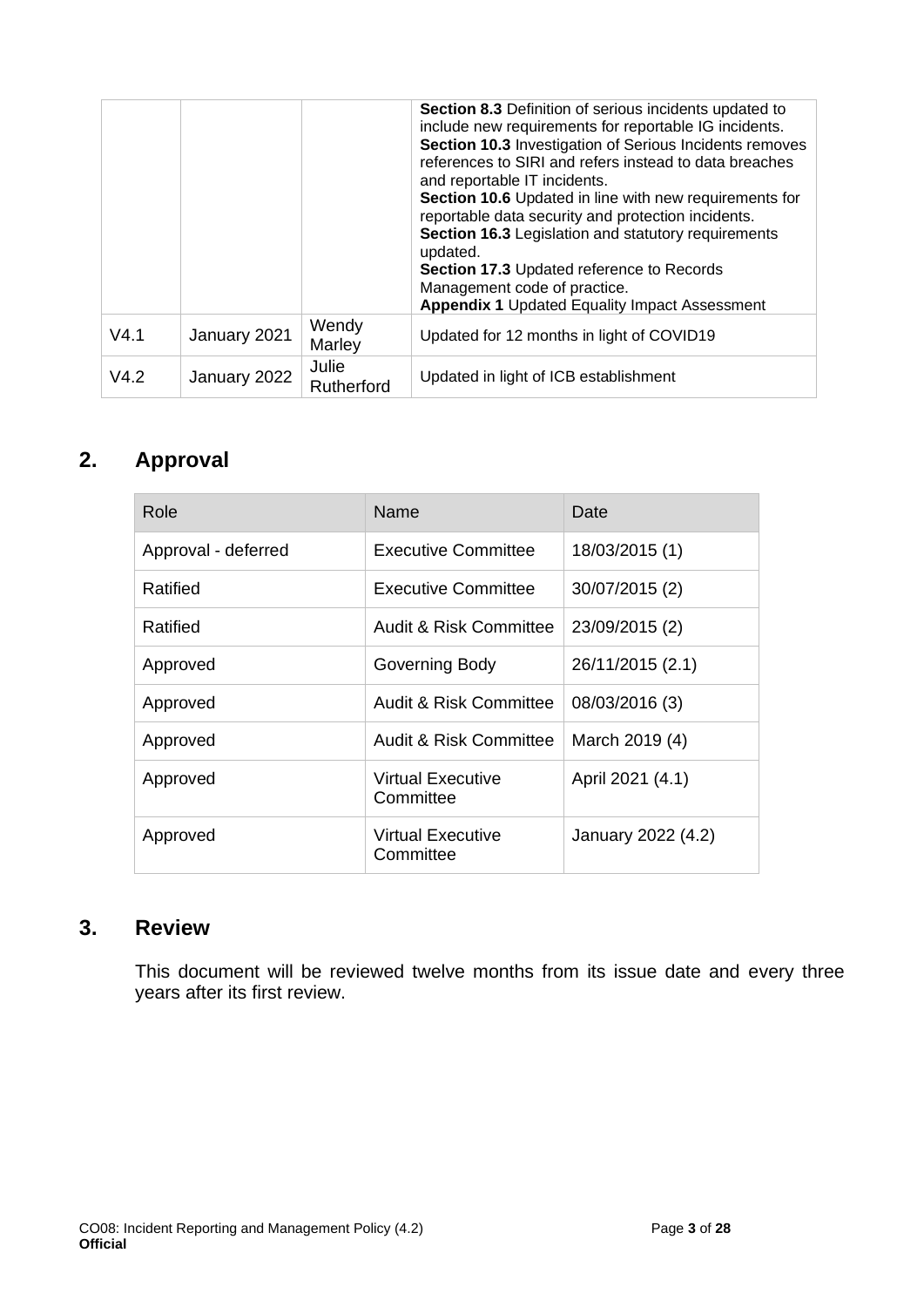|      |              |                     | Section 8.3 Definition of serious incidents updated to<br>include new requirements for reportable IG incidents.<br>Section 10.3 Investigation of Serious Incidents removes<br>references to SIRI and refers instead to data breaches<br>and reportable IT incidents.<br>Section 10.6 Updated in line with new requirements for<br>reportable data security and protection incidents.<br>Section 16.3 Legislation and statutory requirements<br>updated.<br>Section 17.3 Updated reference to Records<br>Management code of practice.<br><b>Appendix 1 Updated Equality Impact Assessment</b> |
|------|--------------|---------------------|----------------------------------------------------------------------------------------------------------------------------------------------------------------------------------------------------------------------------------------------------------------------------------------------------------------------------------------------------------------------------------------------------------------------------------------------------------------------------------------------------------------------------------------------------------------------------------------------|
| V4.1 | January 2021 | Wendy<br>Marley     | Updated for 12 months in light of COVID19                                                                                                                                                                                                                                                                                                                                                                                                                                                                                                                                                    |
| V4.2 | January 2022 | Julie<br>Rutherford | Updated in light of ICB establishment                                                                                                                                                                                                                                                                                                                                                                                                                                                                                                                                                        |

### <span id="page-2-0"></span>**2. Approval**

| Role                | Name                           | Date               |
|---------------------|--------------------------------|--------------------|
| Approval - deferred | <b>Executive Committee</b>     | 18/03/2015 (1)     |
| Ratified            | Executive Committee            | 30/07/2015 (2)     |
| Ratified            | Audit & Risk Committee         | 23/09/2015 (2)     |
| Approved            | Governing Body                 | 26/11/2015 (2.1)   |
| Approved            | Audit & Risk Committee         | 08/03/2016 (3)     |
| Approved            | Audit & Risk Committee         | March 2019 (4)     |
| Approved            | Virtual Executive<br>Committee | April 2021 (4.1)   |
| Approved            | Virtual Executive<br>Committee | January 2022 (4.2) |

### **3. Review**

This document will be reviewed twelve months from its issue date and every three years after its first review.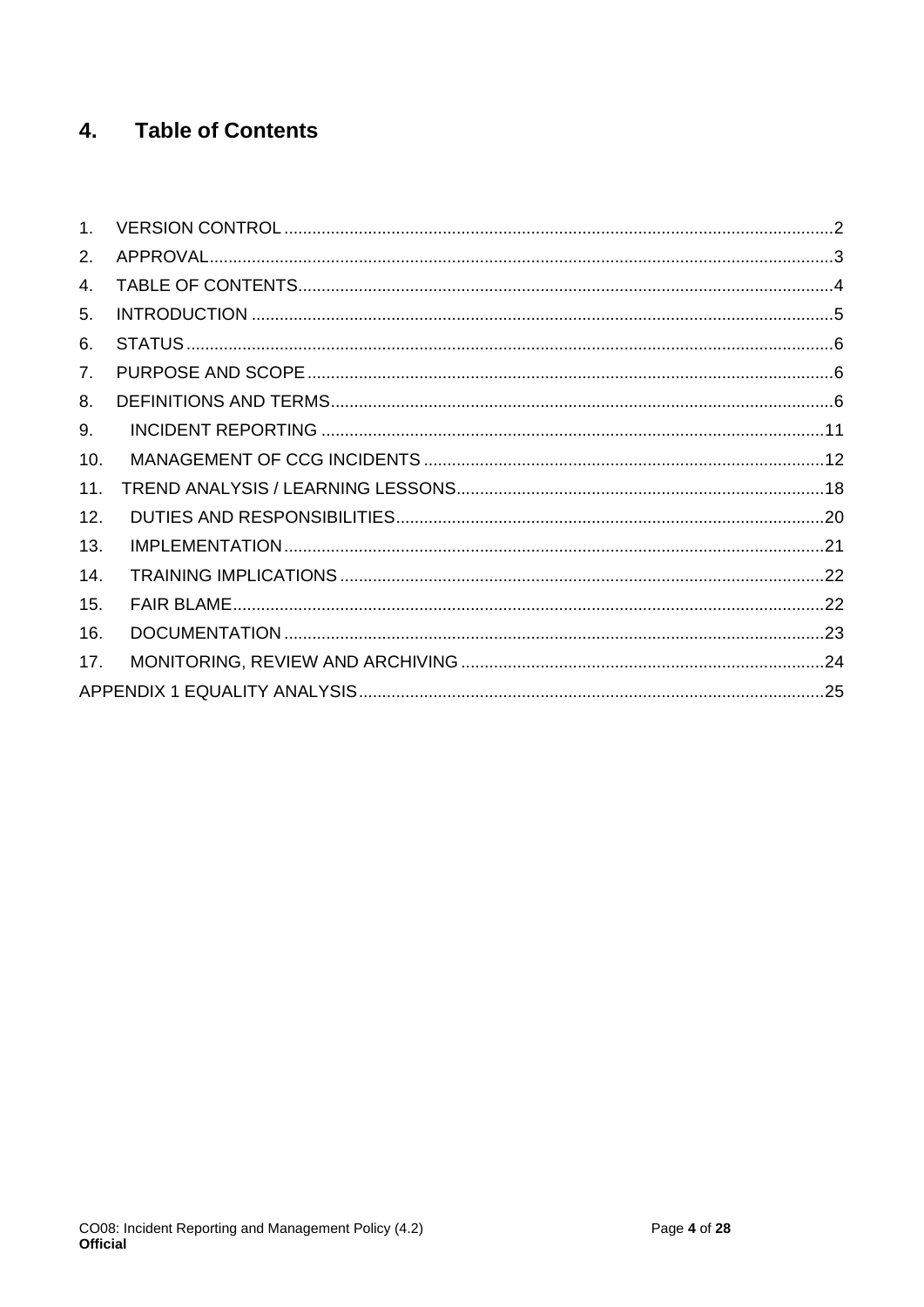#### <span id="page-3-0"></span>**Table of Contents** 4.

| 1 <sub>1</sub> |  |
|----------------|--|
| 2.             |  |
| 4.             |  |
| 5.             |  |
| 6.             |  |
| 7.             |  |
| 8.             |  |
| 9.             |  |
| 10.            |  |
| 11.            |  |
| 12.            |  |
| 13.            |  |
| 14.            |  |
| 15.            |  |
| 16.            |  |
| 17.            |  |
|                |  |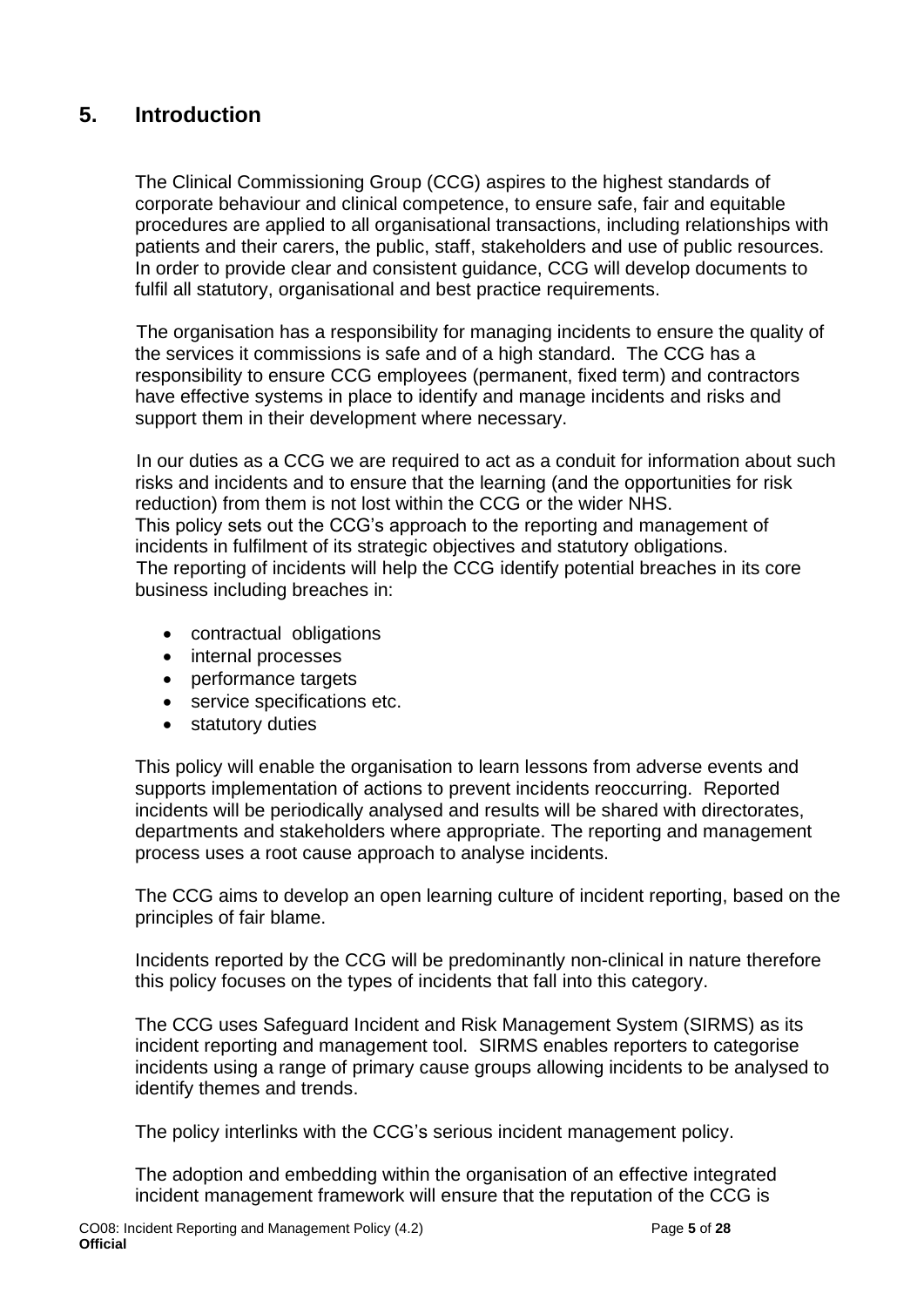### <span id="page-4-0"></span>**5. Introduction**

The Clinical Commissioning Group (CCG) aspires to the highest standards of corporate behaviour and clinical competence, to ensure safe, fair and equitable procedures are applied to all organisational transactions, including relationships with patients and their carers, the public, staff, stakeholders and use of public resources. In order to provide clear and consistent guidance, CCG will develop documents to fulfil all statutory, organisational and best practice requirements.

 The organisation has a responsibility for managing incidents to ensure the quality of the services it commissions is safe and of a high standard. The CCG has a responsibility to ensure CCG employees (permanent, fixed term) and contractors have effective systems in place to identify and manage incidents and risks and support them in their development where necessary.

 In our duties as a CCG we are required to act as a conduit for information about such risks and incidents and to ensure that the learning (and the opportunities for risk reduction) from them is not lost within the CCG or the wider NHS. This policy sets out the CCG's approach to the reporting and management of incidents in fulfilment of its strategic objectives and statutory obligations. The reporting of incidents will help the CCG identify potential breaches in its core business including breaches in:

- contractual obligations
- internal processes
- performance targets
- service specifications etc.
- statutory duties

This policy will enable the organisation to learn lessons from adverse events and supports implementation of actions to prevent incidents reoccurring. Reported incidents will be periodically analysed and results will be shared with directorates, departments and stakeholders where appropriate. The reporting and management process uses a root cause approach to analyse incidents.

The CCG aims to develop an open learning culture of incident reporting, based on the principles of fair blame.

Incidents reported by the CCG will be predominantly non-clinical in nature therefore this policy focuses on the types of incidents that fall into this category.

The CCG uses Safeguard Incident and Risk Management System (SIRMS) as its incident reporting and management tool. SIRMS enables reporters to categorise incidents using a range of primary cause groups allowing incidents to be analysed to identify themes and trends.

The policy interlinks with the CCG's serious incident management policy.

 The adoption and embedding within the organisation of an effective integrated incident management framework will ensure that the reputation of the CCG is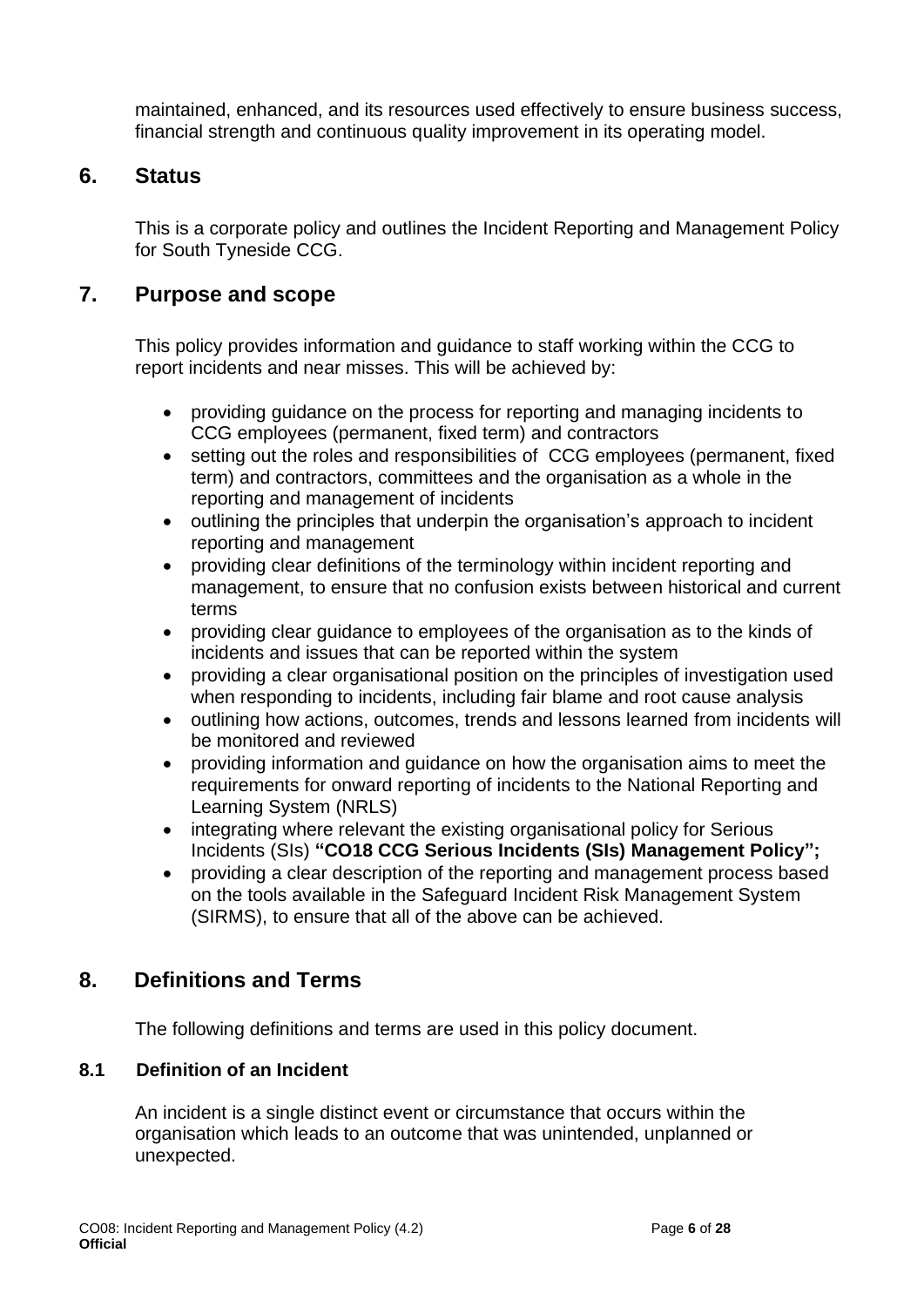maintained, enhanced, and its resources used effectively to ensure business success, financial strength and continuous quality improvement in its operating model.

#### <span id="page-5-0"></span>**6. Status**

This is a corporate policy and outlines the Incident Reporting and Management Policy for South Tyneside CCG.

#### <span id="page-5-1"></span>**7. Purpose and scope**

This policy provides information and guidance to staff working within the CCG to report incidents and near misses. This will be achieved by:

- providing guidance on the process for reporting and managing incidents to CCG employees (permanent, fixed term) and contractors
- setting out the roles and responsibilities of CCG employees (permanent, fixed term) and contractors, committees and the organisation as a whole in the reporting and management of incidents
- outlining the principles that underpin the organisation's approach to incident reporting and management
- providing clear definitions of the terminology within incident reporting and management, to ensure that no confusion exists between historical and current terms
- providing clear guidance to employees of the organisation as to the kinds of incidents and issues that can be reported within the system
- providing a clear organisational position on the principles of investigation used when responding to incidents, including fair blame and root cause analysis
- outlining how actions, outcomes, trends and lessons learned from incidents will be monitored and reviewed
- providing information and guidance on how the organisation aims to meet the requirements for onward reporting of incidents to the National Reporting and Learning System (NRLS)
- integrating where relevant the existing organisational policy for Serious Incidents (SIs) **"CO18 CCG Serious Incidents (SIs) Management Policy";**
- providing a clear description of the reporting and management process based on the tools available in the Safeguard Incident Risk Management System (SIRMS), to ensure that all of the above can be achieved.

### <span id="page-5-2"></span>**8. Definitions and Terms**

The following definitions and terms are used in this policy document.

#### **8.1 Definition of an Incident**

An incident is a single distinct event or circumstance that occurs within the organisation which leads to an outcome that was unintended, unplanned or unexpected.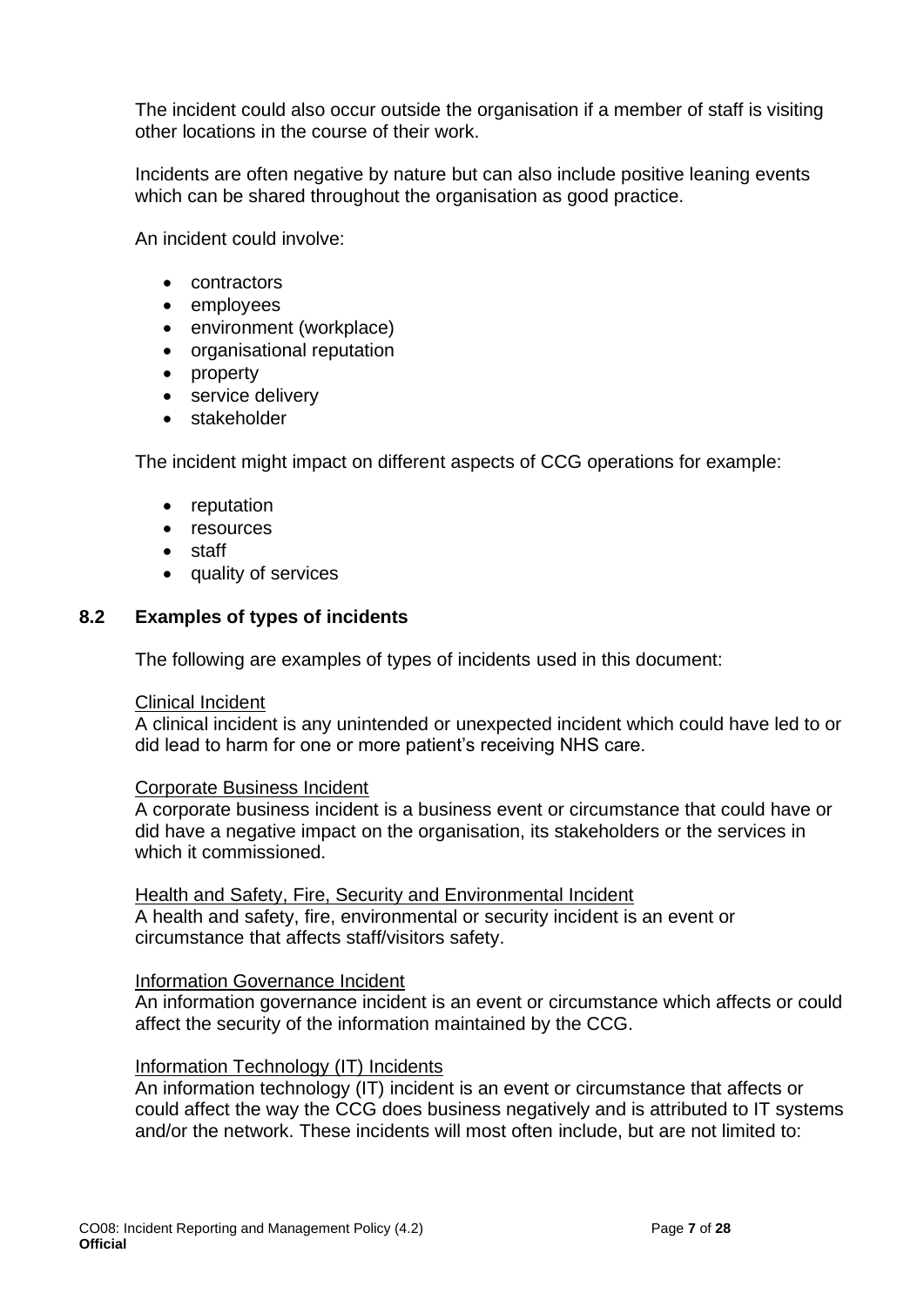The incident could also occur outside the organisation if a member of staff is visiting other locations in the course of their work.

Incidents are often negative by nature but can also include positive leaning events which can be shared throughout the organisation as good practice.

An incident could involve:

- contractors
- employees
- environment (workplace)
- organisational reputation
- property
- service delivery
- stakeholder

The incident might impact on different aspects of CCG operations for example:

- reputation
- resources
- staff
- quality of services

#### **8.2 Examples of types of incidents**

The following are examples of types of incidents used in this document:

#### Clinical Incident

A clinical incident is any unintended or unexpected incident which could have led to or did lead to harm for one or more patient's receiving NHS care.

#### Corporate Business Incident

A corporate business incident is a business event or circumstance that could have or did have a negative impact on the organisation, its stakeholders or the services in which it commissioned.

Health and Safety, Fire, Security and Environmental Incident A health and safety, fire, environmental or security incident is an event or circumstance that affects staff/visitors safety.

#### Information Governance Incident

An information governance incident is an event or circumstance which affects or could affect the security of the information maintained by the CCG.

#### Information Technology (IT) Incidents

An information technology (IT) incident is an event or circumstance that affects or could affect the way the CCG does business negatively and is attributed to IT systems and/or the network. These incidents will most often include, but are not limited to: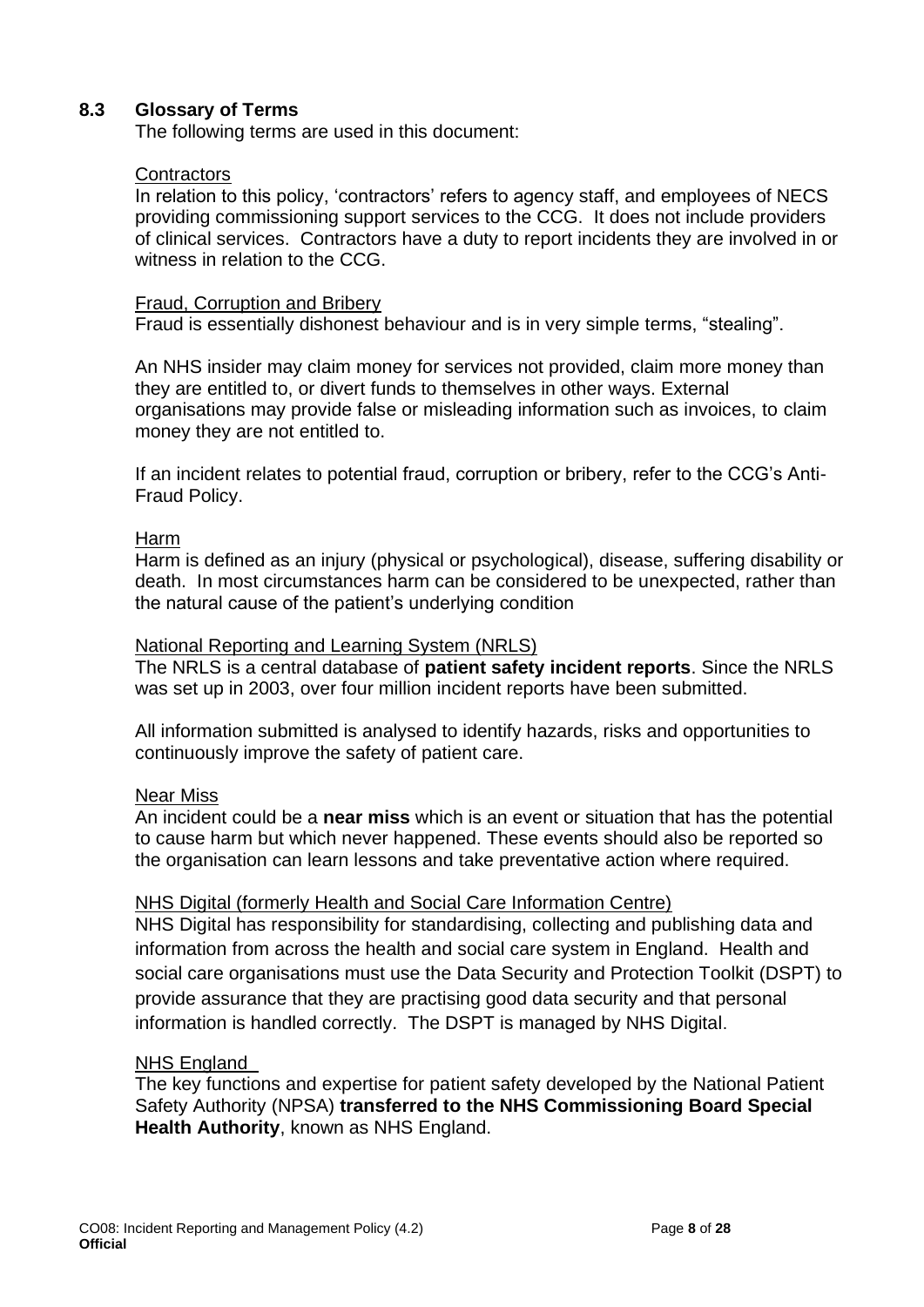#### **8.3 Glossary of Terms**

The following terms are used in this document:

#### **Contractors**

In relation to this policy, 'contractors' refers to agency staff, and employees of NECS providing commissioning support services to the CCG. It does not include providers of clinical services. Contractors have a duty to report incidents they are involved in or witness in relation to the CCG.

#### Fraud, Corruption and Bribery

Fraud is essentially dishonest behaviour and is in very simple terms, "stealing".

An NHS insider may claim money for services not provided, claim more money than they are entitled to, or divert funds to themselves in other ways. External organisations may provide false or misleading information such as invoices, to claim money they are not entitled to.

If an incident relates to potential fraud, corruption or bribery, refer to the CCG's Anti-Fraud Policy.

#### Harm

Harm is defined as an injury (physical or psychological), disease, suffering disability or death. In most circumstances harm can be considered to be unexpected, rather than the natural cause of the patient's underlying condition

#### National Reporting and Learning System (NRLS)

The NRLS is a central database of **patient safety incident reports**. Since the NRLS was set up in 2003, over four million incident reports have been submitted.

All information submitted is analysed to identify hazards, risks and opportunities to continuously improve the safety of patient care.

#### Near Miss

An incident could be a **near miss** which is an event or situation that has the potential to cause harm but which never happened. These events should also be reported so the organisation can learn lessons and take preventative action where required.

#### NHS Digital (formerly Health and Social Care Information Centre)

NHS Digital has responsibility for standardising, collecting and publishing data and information from across the health and social care system in England. Health and social care organisations must use the Data Security and Protection Toolkit (DSPT) to provide assurance that they are practising good data security and that personal information is handled correctly. The DSPT is managed by NHS Digital.

#### [NHS England](http://www.npsa.nhs.uk/)

The key functions and expertise for patient safety developed by the National Patient Safety Authority (NPSA) **transferred to the NHS Commissioning Board Special Health Authority**, known as NHS England.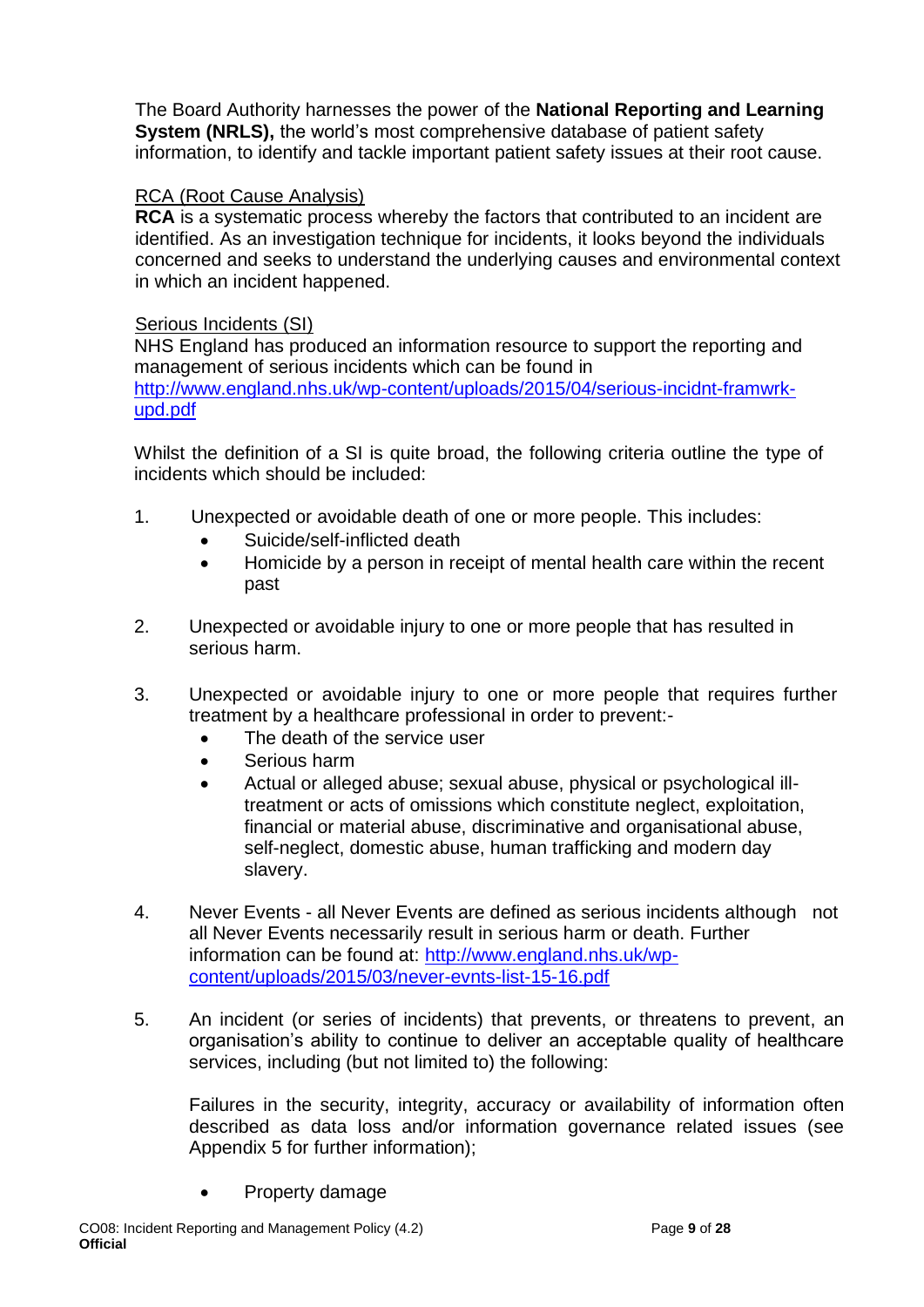The Board Authority harnesses the power of the **National Reporting and Learning System (NRLS),** the world's most comprehensive database of patient safety information, to identify and tackle important patient safety issues at their root cause.

#### RCA (Root Cause Analysis)

**RCA** is a systematic process whereby the factors that contributed to an incident are identified. As an investigation technique for incidents, it looks beyond the individuals concerned and seeks to understand the underlying causes and environmental context in which an incident happened.

#### Serious Incidents (SI)

NHS England has produced an information resource to support the reporting and management of serious incidents which can be found in [http://www.england.nhs.uk/wp-content/uploads/2015/04/serious-incidnt-framwrk](http://www.england.nhs.uk/wp-content/uploads/2015/04/serious-incidnt-framwrk-upd.pdf)[upd.pdf](http://www.england.nhs.uk/wp-content/uploads/2015/04/serious-incidnt-framwrk-upd.pdf)

Whilst the definition of a SI is quite broad, the following criteria outline the type of incidents which should be included:

- 1. Unexpected or avoidable death of one or more people. This includes:
	- Suicide/self-inflicted death
	- Homicide by a person in receipt of mental health care within the recent past
- 2. Unexpected or avoidable injury to one or more people that has resulted in serious harm.
- 3. Unexpected or avoidable injury to one or more people that requires further treatment by a healthcare professional in order to prevent:-
	- The death of the service user
	- Serious harm
	- Actual or alleged abuse; sexual abuse, physical or psychological illtreatment or acts of omissions which constitute neglect, exploitation, financial or material abuse, discriminative and organisational abuse, self-neglect, domestic abuse, human trafficking and modern day slavery.
- 4. Never Events all Never Events are defined as serious incidents although not all Never Events necessarily result in serious harm or death. Further information can be found at: [http://www.england.nhs.uk/wp](http://www.england.nhs.uk/wp-content/uploads/2015/03/never-evnts-list-15-16.pdf)[content/uploads/2015/03/never-evnts-list-15-16.pdf](http://www.england.nhs.uk/wp-content/uploads/2015/03/never-evnts-list-15-16.pdf)
- 5. An incident (or series of incidents) that prevents, or threatens to prevent, an organisation's ability to continue to deliver an acceptable quality of healthcare services, including (but not limited to) the following:

Failures in the security, integrity, accuracy or availability of information often described as data loss and/or information governance related issues (see Appendix 5 for further information);

• Property damage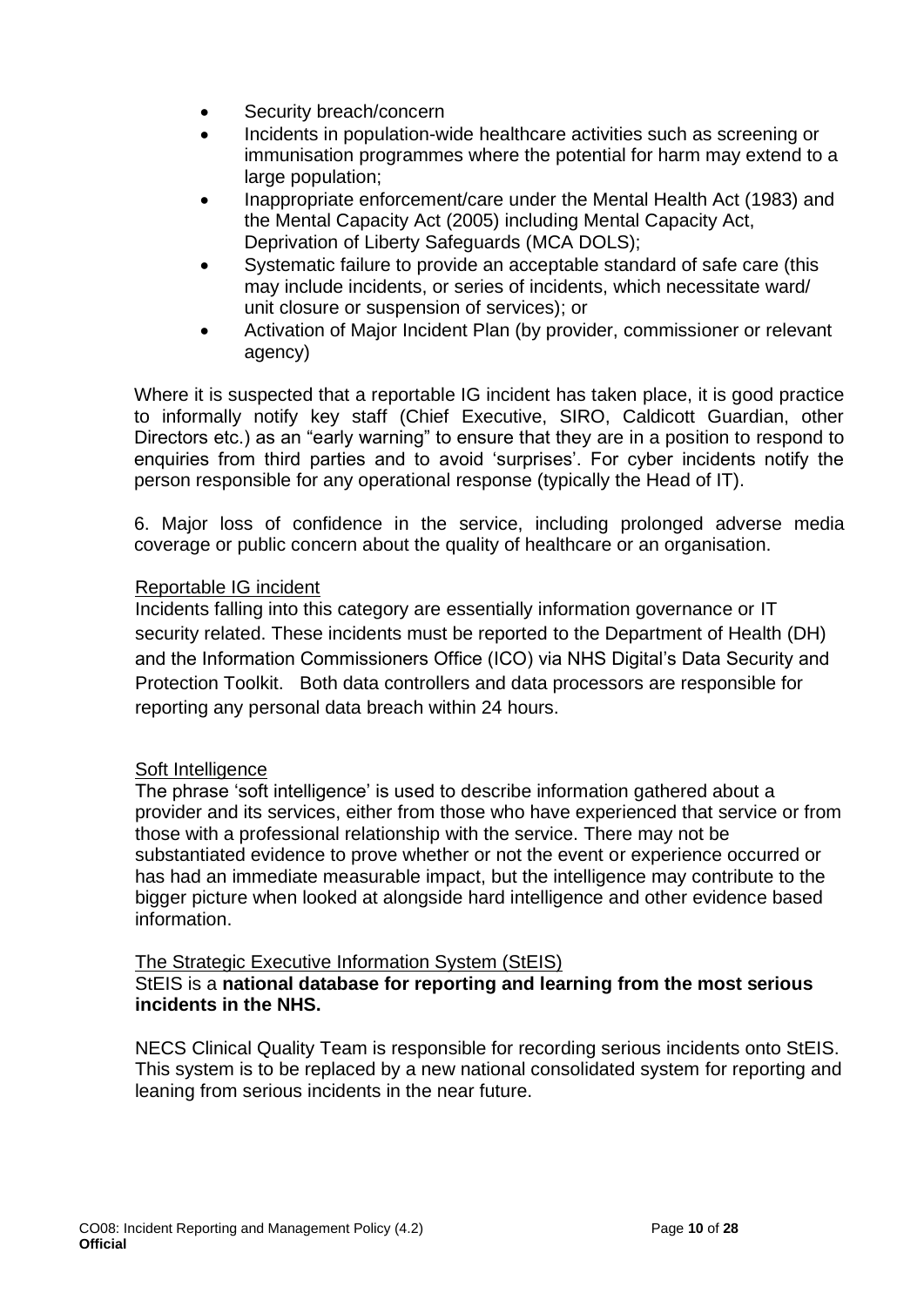- Security breach/concern
- Incidents in population-wide healthcare activities such as screening or immunisation programmes where the potential for harm may extend to a large population;
- Inappropriate enforcement/care under the Mental Health Act (1983) and the Mental Capacity Act (2005) including Mental Capacity Act, Deprivation of Liberty Safeguards (MCA DOLS);
- Systematic failure to provide an acceptable standard of safe care (this may include incidents, or series of incidents, which necessitate ward/ unit closure or suspension of services); or
- Activation of Major Incident Plan (by provider, commissioner or relevant agency)

Where it is suspected that a reportable IG incident has taken place, it is good practice to informally notify key staff (Chief Executive, SIRO, Caldicott Guardian, other Directors etc.) as an "early warning" to ensure that they are in a position to respond to enquiries from third parties and to avoid 'surprises'. For cyber incidents notify the person responsible for any operational response (typically the Head of IT).

6. Major loss of confidence in the service, including prolonged adverse media coverage or public concern about the quality of healthcare or an organisation.

#### Reportable IG incident

Incidents falling into this category are essentially information governance or IT security related. These incidents must be reported to the Department of Health (DH) and the Information Commissioners Office (ICO) via NHS Digital's Data Security and Protection Toolkit. Both data controllers and data processors are responsible for reporting any personal data breach within 24 hours.

#### Soft Intelligence

The phrase 'soft intelligence' is used to describe information gathered about a provider and its services, either from those who have experienced that service or from those with a professional relationship with the service. There may not be substantiated evidence to prove whether or not the event or experience occurred or has had an immediate measurable impact, but the intelligence may contribute to the bigger picture when looked at alongside hard intelligence and other evidence based information.

#### The Strategic Executive Information System (StEIS)

#### StEIS is a **national database for reporting and learning from the most serious incidents in the NHS.**

NECS Clinical Quality Team is responsible for recording serious incidents onto StEIS. This system is to be replaced by a new national consolidated system for reporting and leaning from serious incidents in the near future.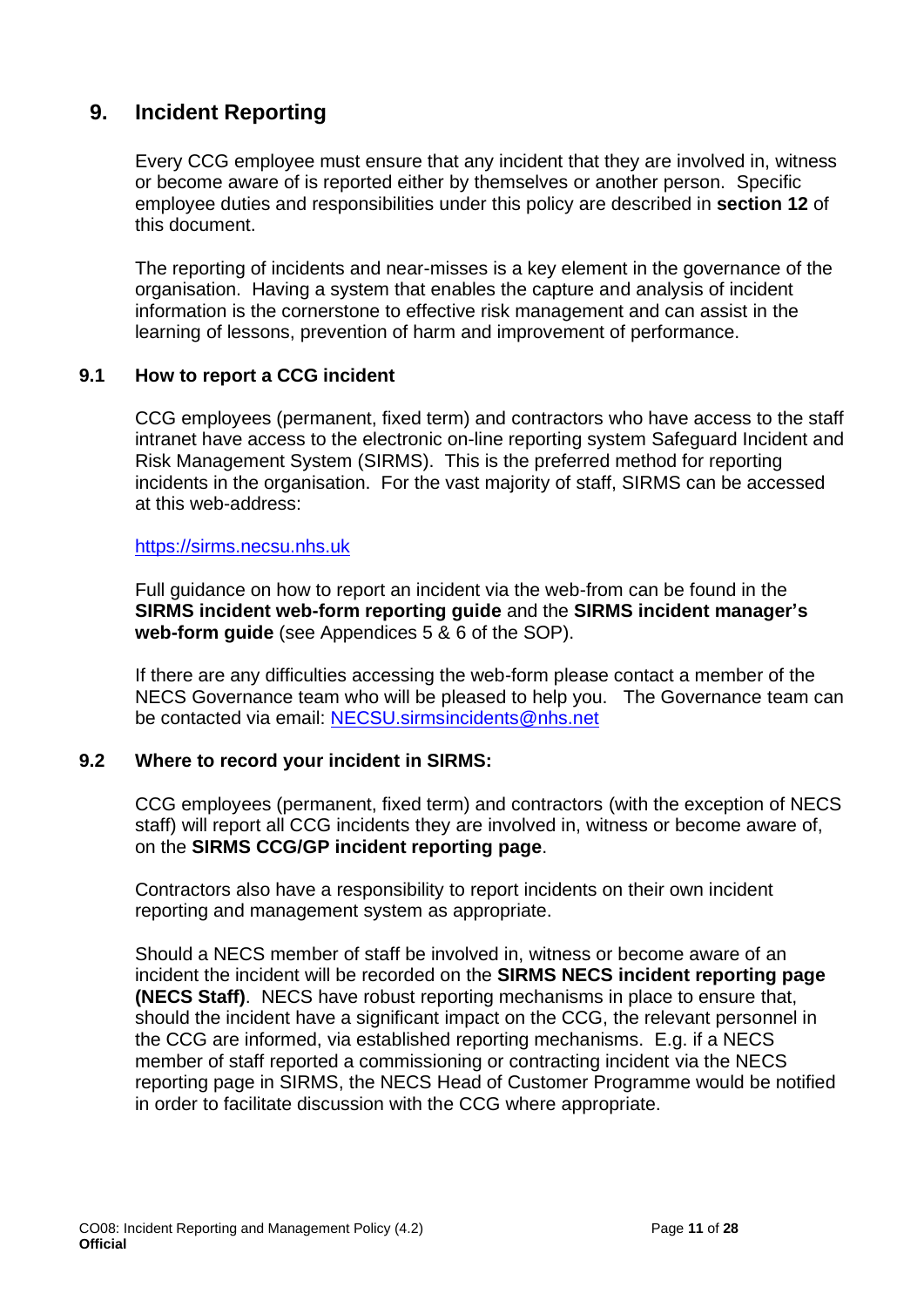### <span id="page-10-0"></span> **9. Incident Reporting**

Every CCG employee must ensure that any incident that they are involved in, witness or become aware of is reported either by themselves or another person. Specific employee duties and responsibilities under this policy are described in **section 12** of this document.

The reporting of incidents and near-misses is a key element in the governance of the organisation. Having a system that enables the capture and analysis of incident information is the cornerstone to effective risk management and can assist in the learning of lessons, prevention of harm and improvement of performance.

#### **9.1 How to report a CCG incident**

CCG employees (permanent, fixed term) and contractors who have access to the staff intranet have access to the electronic on-line reporting system Safeguard Incident and Risk Management System (SIRMS). This is the preferred method for reporting incidents in the organisation. For the vast majority of staff, SIRMS can be accessed at this web-address:

#### [https://sirms.necsu.nhs.uk](https://sirms.necsu.nhs.uk/)

Full guidance on how to report an incident via the web-from can be found in the **SIRMS incident web-form reporting guide** and the **SIRMS incident manager's web-form guide** (see Appendices 5 & 6 of the SOP).

If there are any difficulties accessing the web-form please contact a member of the NECS Governance team who will be pleased to help you. The Governance team can be contacted via email: [NECSU.sirmsincidents@nhs.net](mailto:NECSU.sirmsincidents@nhs.net)

#### **9.2 Where to record your incident in SIRMS:**

CCG employees (permanent, fixed term) and contractors (with the exception of NECS staff) will report all CCG incidents they are involved in, witness or become aware of, on the **SIRMS CCG/GP incident reporting page**.

Contractors also have a responsibility to report incidents on their own incident reporting and management system as appropriate.

Should a NECS member of staff be involved in, witness or become aware of an incident the incident will be recorded on the **SIRMS NECS incident reporting page (NECS Staff)**. NECS have robust reporting mechanisms in place to ensure that, should the incident have a significant impact on the CCG, the relevant personnel in the CCG are informed, via established reporting mechanisms. E.g. if a NECS member of staff reported a commissioning or contracting incident via the NECS reporting page in SIRMS, the NECS Head of Customer Programme would be notified in order to facilitate discussion with the CCG where appropriate.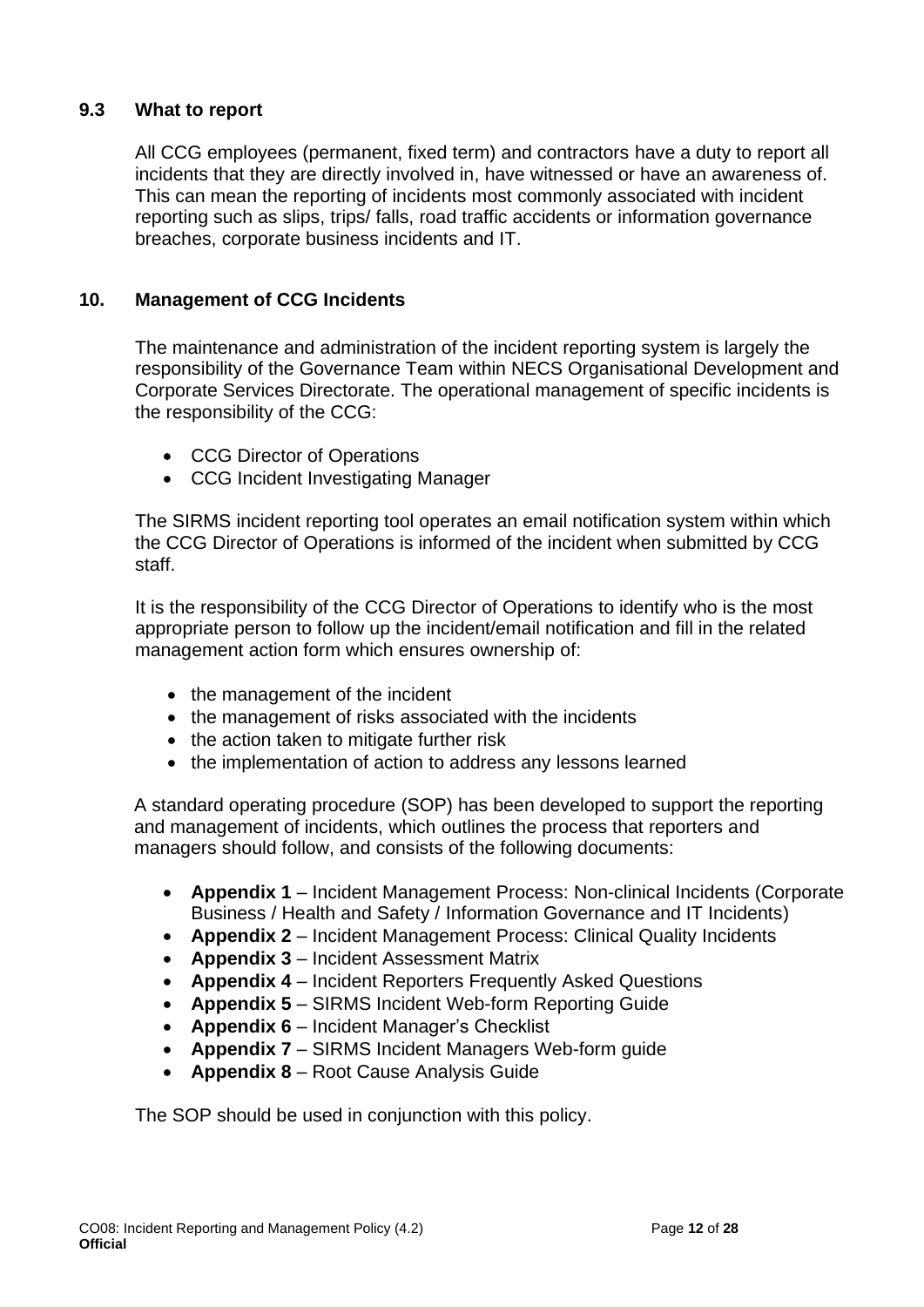#### **9.3 What to report**

All CCG employees (permanent, fixed term) and contractors have a duty to report all incidents that they are directly involved in, have witnessed or have an awareness of. This can mean the reporting of incidents most commonly associated with incident reporting such as slips, trips/ falls, road traffic accidents or information governance breaches, corporate business incidents and IT.

#### <span id="page-11-0"></span>**10. Management of CCG Incidents**

The maintenance and administration of the incident reporting system is largely the responsibility of the Governance Team within NECS Organisational Development and Corporate Services Directorate. The operational management of specific incidents is the responsibility of the CCG:

- CCG Director of Operations
- CCG Incident Investigating Manager

The SIRMS incident reporting tool operates an email notification system within which the CCG Director of Operations is informed of the incident when submitted by CCG staff.

It is the responsibility of the CCG Director of Operations to identify who is the most appropriate person to follow up the incident/email notification and fill in the related management action form which ensures ownership of:

- the management of the incident
- the management of risks associated with the incidents
- the action taken to mitigate further risk
- the implementation of action to address any lessons learned

A standard operating procedure (SOP) has been developed to support the reporting and management of incidents, which outlines the process that reporters and managers should follow, and consists of the following documents:

- **Appendix 1** Incident Management Process: Non-clinical Incidents (Corporate Business / Health and Safety / Information Governance and IT Incidents)
- **Appendix 2** Incident Management Process: Clinical Quality Incidents
- **Appendix 3** Incident Assessment Matrix
- **Appendix 4** Incident Reporters Frequently Asked Questions
- **Appendix 5** SIRMS Incident Web-form Reporting Guide
- **Appendix 6** Incident Manager's Checklist
- **Appendix 7** SIRMS Incident Managers Web-form guide
- **Appendix 8**  Root Cause Analysis Guide

The SOP should be used in conjunction with this policy.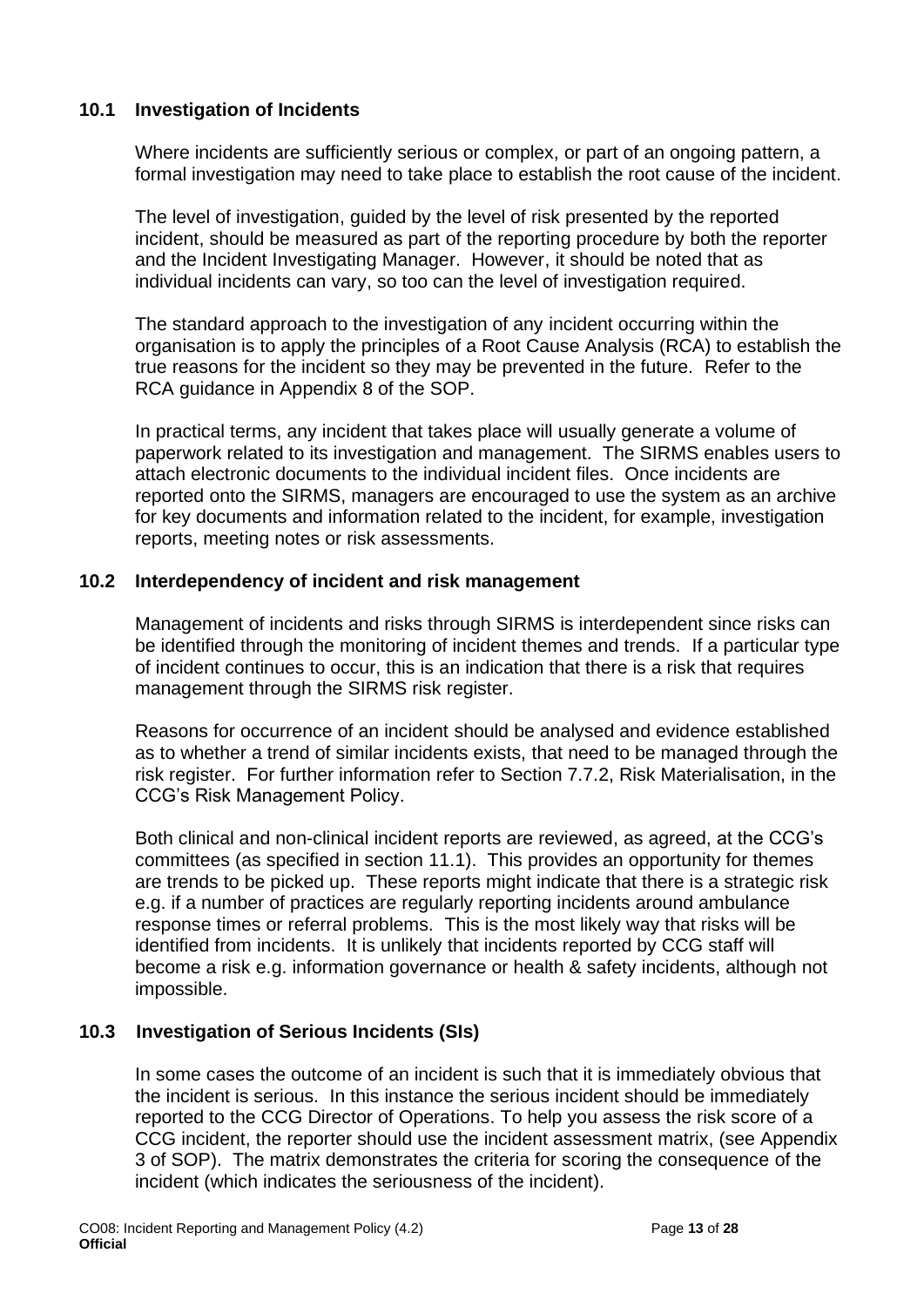#### **10.1 Investigation of Incidents**

Where incidents are sufficiently serious or complex, or part of an ongoing pattern, a formal investigation may need to take place to establish the root cause of the incident.

The level of investigation, guided by the level of risk presented by the reported incident, should be measured as part of the reporting procedure by both the reporter and the Incident Investigating Manager. However, it should be noted that as individual incidents can vary, so too can the level of investigation required.

The standard approach to the investigation of any incident occurring within the organisation is to apply the principles of a Root Cause Analysis (RCA) to establish the true reasons for the incident so they may be prevented in the future. Refer to the RCA guidance in Appendix 8 of the SOP.

In practical terms, any incident that takes place will usually generate a volume of paperwork related to its investigation and management. The SIRMS enables users to attach electronic documents to the individual incident files. Once incidents are reported onto the SIRMS, managers are encouraged to use the system as an archive for key documents and information related to the incident, for example, investigation reports, meeting notes or risk assessments.

#### **10.2 Interdependency of incident and risk management**

Management of incidents and risks through SIRMS is interdependent since risks can be identified through the monitoring of incident themes and trends. If a particular type of incident continues to occur, this is an indication that there is a risk that requires management through the SIRMS risk register.

Reasons for occurrence of an incident should be analysed and evidence established as to whether a trend of similar incidents exists, that need to be managed through the risk register. For further information refer to Section 7.7.2, Risk Materialisation, in the CCG's Risk Management Policy.

Both clinical and non-clinical incident reports are reviewed, as agreed, at the CCG's committees (as specified in section 11.1). This provides an opportunity for themes are trends to be picked up. These reports might indicate that there is a strategic risk e.g. if a number of practices are regularly reporting incidents around ambulance response times or referral problems. This is the most likely way that risks will be identified from incidents. It is unlikely that incidents reported by CCG staff will become a risk e.g. information governance or health & safety incidents, although not impossible.

#### **10.3 Investigation of Serious Incidents (SIs)**

In some cases the outcome of an incident is such that it is immediately obvious that the incident is serious. In this instance the serious incident should be immediately reported to the CCG Director of Operations. To help you assess the risk score of a CCG incident, the reporter should use the incident assessment matrix, (see Appendix 3 of SOP). The matrix demonstrates the criteria for scoring the consequence of the incident (which indicates the seriousness of the incident).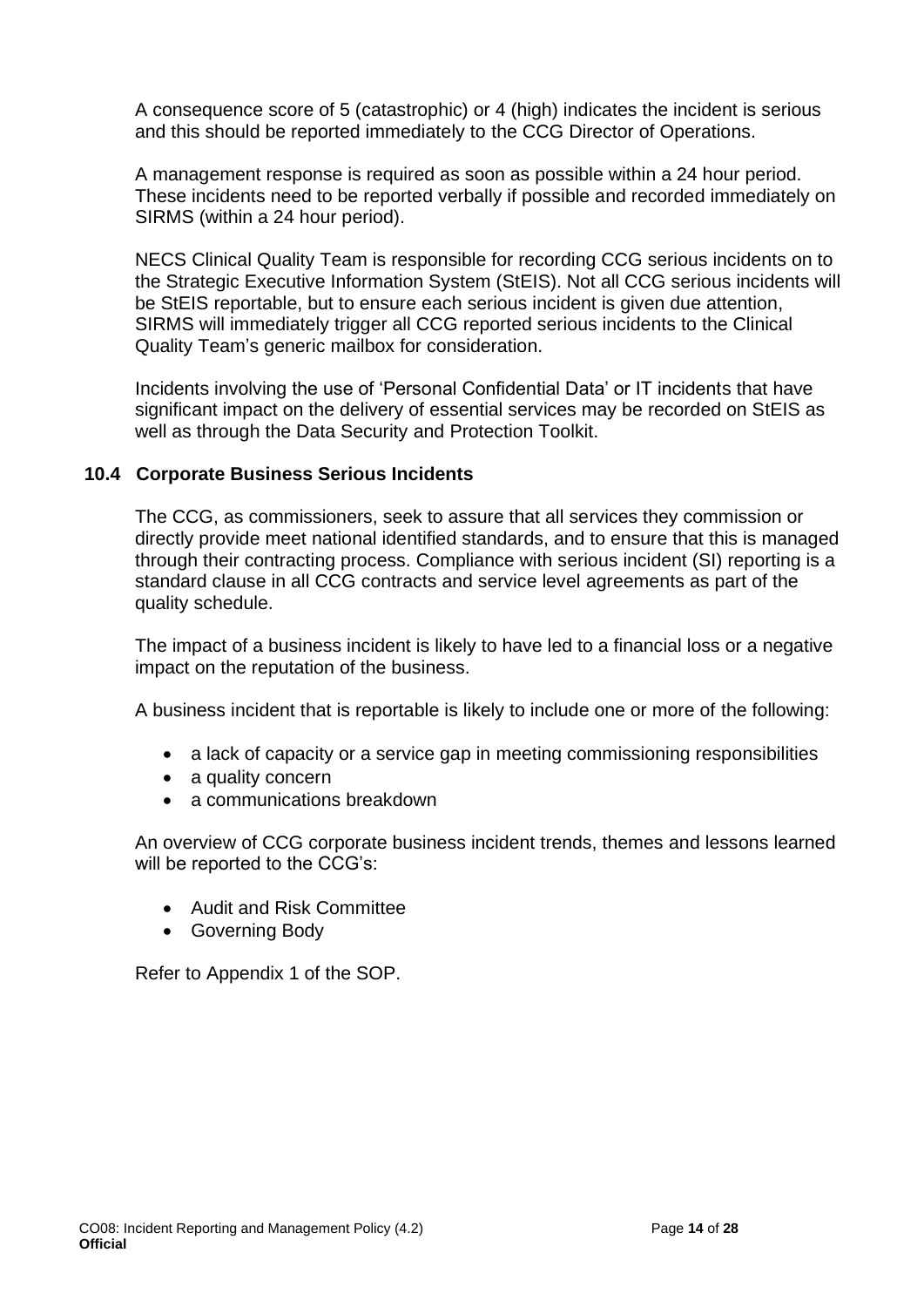A consequence score of 5 (catastrophic) or 4 (high) indicates the incident is serious and this should be reported immediately to the CCG Director of Operations.

A management response is required as soon as possible within a 24 hour period. These incidents need to be reported verbally if possible and recorded immediately on SIRMS (within a 24 hour period).

NECS Clinical Quality Team is responsible for recording CCG serious incidents on to the Strategic Executive Information System (StEIS). Not all CCG serious incidents will be StEIS reportable, but to ensure each serious incident is given due attention, SIRMS will immediately trigger all CCG reported serious incidents to the Clinical Quality Team's generic mailbox for consideration.

Incidents involving the use of 'Personal Confidential Data' or IT incidents that have significant impact on the delivery of essential services may be recorded on StEIS as well as through the Data Security and Protection Toolkit.

#### **10.4 Corporate Business Serious Incidents**

The CCG, as commissioners, seek to assure that all services they commission or directly provide meet national identified standards, and to ensure that this is managed through their contracting process. Compliance with serious incident (SI) reporting is a standard clause in all CCG contracts and service level agreements as part of the quality schedule.

The impact of a business incident is likely to have led to a financial loss or a negative impact on the reputation of the business.

A business incident that is reportable is likely to include one or more of the following:

- a lack of capacity or a service gap in meeting commissioning responsibilities
- a quality concern
- a communications breakdown

An overview of CCG corporate business incident trends, themes and lessons learned will be reported to the CCG's:

- Audit and Risk Committee
- Governing Body

Refer to Appendix 1 of the SOP.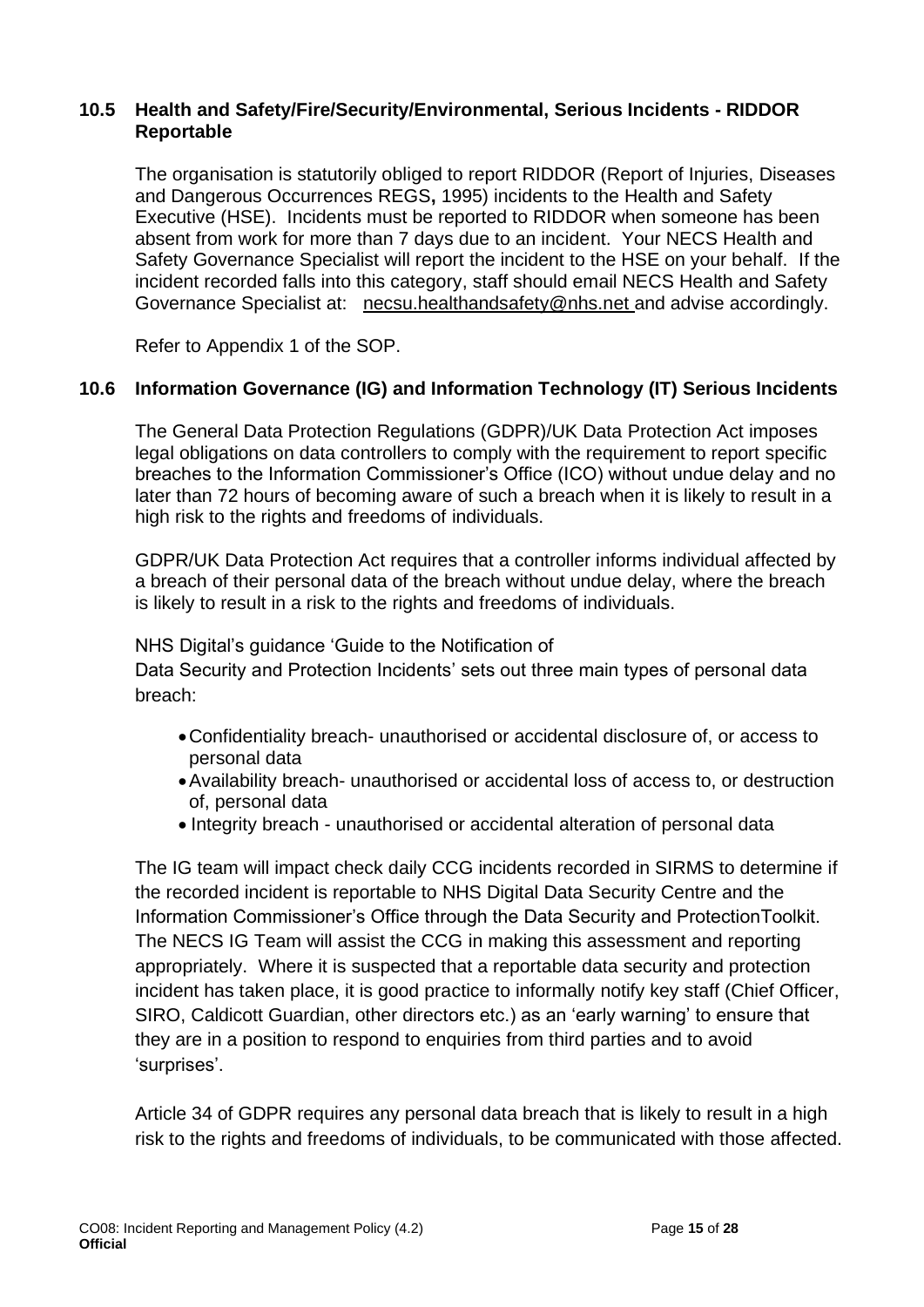#### **10.5 Health and Safety/Fire/Security/Environmental, Serious Incidents - RIDDOR Reportable**

The organisation is statutorily obliged to report RIDDOR (Report of Injuries, Diseases and Dangerous Occurrences REGS**,** 1995) incidents to the Health and Safety Executive (HSE). Incidents must be reported to RIDDOR when someone has been absent from work for more than 7 days due to an incident. Your NECS Health and Safety Governance Specialist will report the incident to the HSE on your behalf. If the incident recorded falls into this category, staff should email NECS Health and Safety Governance Specialist at: [necsu.healthandsafety@nhs.net](mailto:necsu.healthandsafety@nhs.net) and advise accordingly.

Refer to Appendix 1 of the SOP.

#### **10.6 Information Governance (IG) and Information Technology (IT) Serious Incidents**

The General Data Protection Regulations (GDPR)/UK Data Protection Act imposes legal obligations on data controllers to comply with the requirement to report specific breaches to the Information Commissioner's Office (ICO) without undue delay and no later than 72 hours of becoming aware of such a breach when it is likely to result in a high risk to the rights and freedoms of individuals.

GDPR/UK Data Protection Act requires that a controller informs individual affected by a breach of their personal data of the breach without undue delay, where the breach is likely to result in a risk to the rights and freedoms of individuals.

#### NHS Digital's guidance 'Guide to the Notification of

Data Security and Protection Incidents' sets out three main types of personal data breach:

- •Confidentiality breach- unauthorised or accidental disclosure of, or access to personal data
- •Availability breach- unauthorised or accidental loss of access to, or destruction of, personal data
- Integrity breach unauthorised or accidental alteration of personal data

The IG team will impact check daily CCG incidents recorded in SIRMS to determine if the recorded incident is reportable to NHS Digital Data Security Centre and the Information Commissioner's Office through the Data Security and ProtectionToolkit. The NECS IG Team will assist the CCG in making this assessment and reporting appropriately. Where it is suspected that a reportable data security and protection incident has taken place, it is good practice to informally notify key staff (Chief Officer, SIRO, Caldicott Guardian, other directors etc.) as an 'early warning' to ensure that they are in a position to respond to enquiries from third parties and to avoid 'surprises'.

Article 34 of GDPR requires any personal data breach that is likely to result in a high risk to the rights and freedoms of individuals, to be communicated with those affected.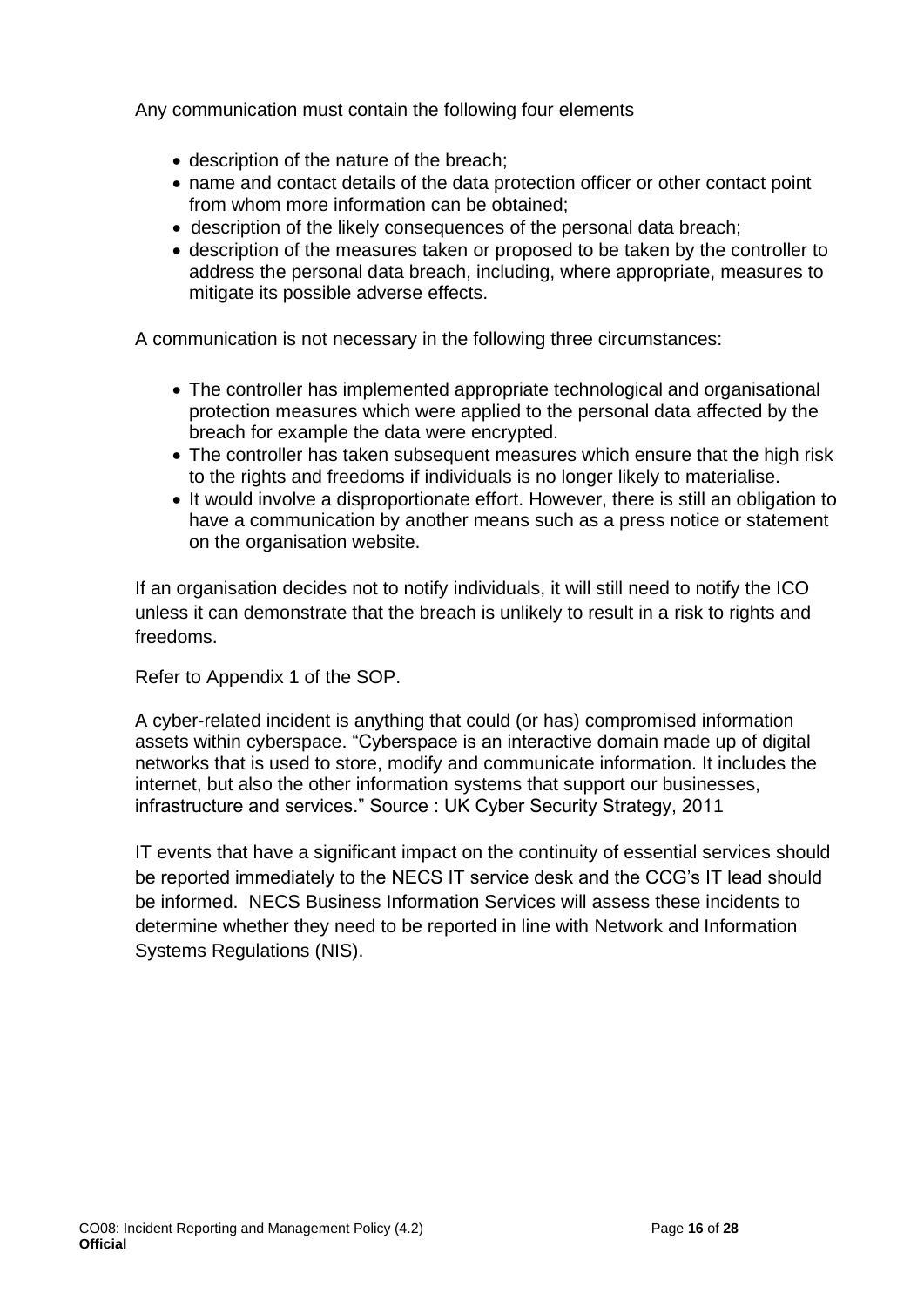Any communication must contain the following four elements

- description of the nature of the breach;
- name and contact details of the data protection officer or other contact point from whom more information can be obtained;
- description of the likely consequences of the personal data breach;
- description of the measures taken or proposed to be taken by the controller to address the personal data breach, including, where appropriate, measures to mitigate its possible adverse effects.

A communication is not necessary in the following three circumstances:

- The controller has implemented appropriate technological and organisational protection measures which were applied to the personal data affected by the breach for example the data were encrypted.
- The controller has taken subsequent measures which ensure that the high risk to the rights and freedoms if individuals is no longer likely to materialise.
- It would involve a disproportionate effort. However, there is still an obligation to have a communication by another means such as a press notice or statement on the organisation website.

If an organisation decides not to notify individuals, it will still need to notify the ICO unless it can demonstrate that the breach is unlikely to result in a risk to rights and freedoms.

Refer to Appendix 1 of the SOP.

A cyber-related incident is anything that could (or has) compromised information assets within cyberspace. "Cyberspace is an interactive domain made up of digital networks that is used to store, modify and communicate information. It includes the internet, but also the other information systems that support our businesses, infrastructure and services." Source : UK Cyber Security Strategy, 2011

IT events that have a significant impact on the continuity of essential services should be reported immediately to the NECS IT service desk and the CCG's IT lead should be informed. NECS Business Information Services will assess these incidents to determine whether they need to be reported in line with Network and Information Systems Regulations (NIS).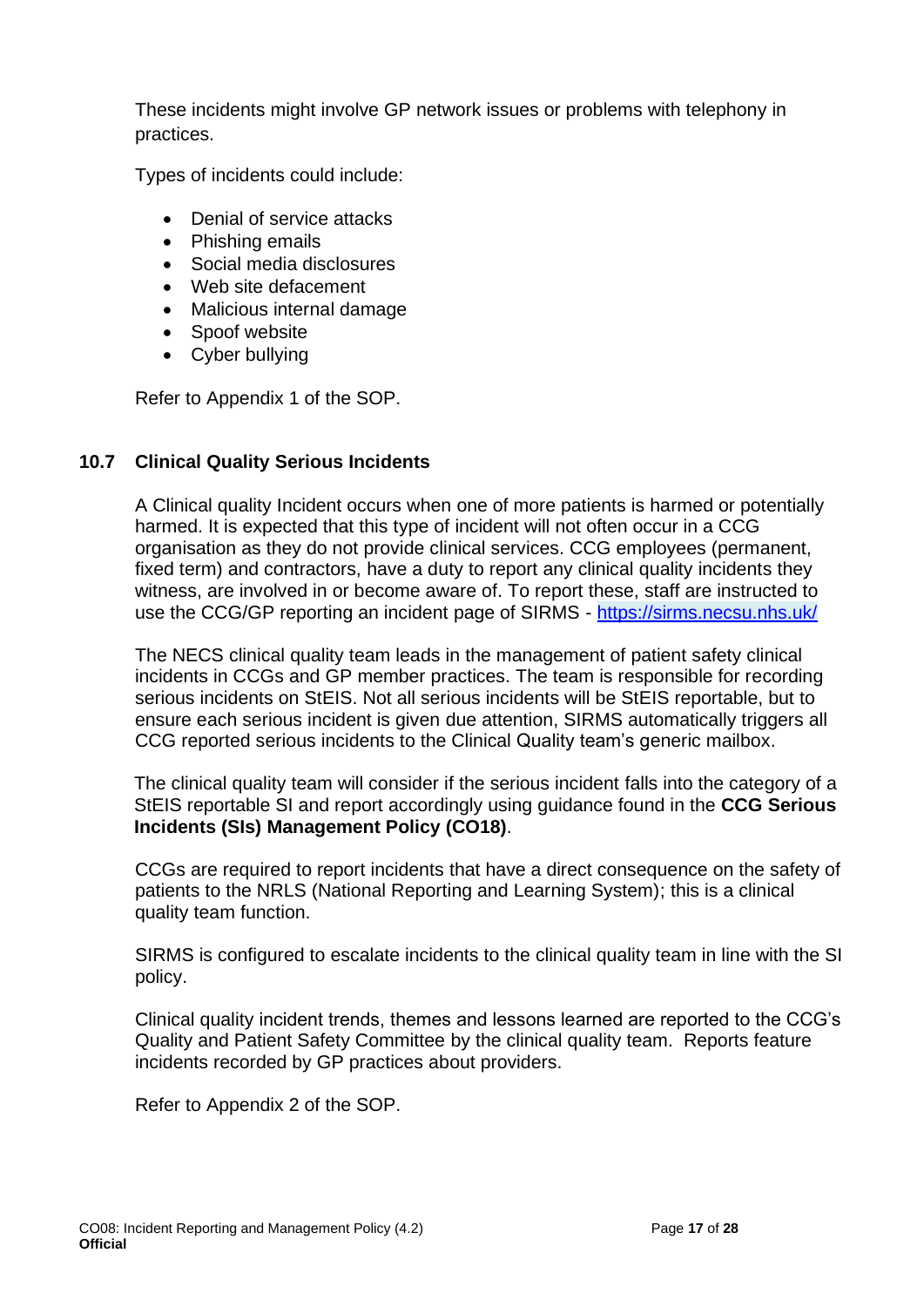These incidents might involve GP network issues or problems with telephony in practices.

Types of incidents could include:

- Denial of service attacks
- Phishing emails
- Social media disclosures
- Web site defacement
- Malicious internal damage
- Spoof website
- Cyber bullying

Refer to Appendix 1 of the SOP.

#### **10.7 Clinical Quality Serious Incidents**

A Clinical quality Incident occurs when one of more patients is harmed or potentially harmed. It is expected that this type of incident will not often occur in a CCG organisation as they do not provide clinical services. CCG employees (permanent, fixed term) and contractors, have a duty to report any clinical quality incidents they witness, are involved in or become aware of. To report these, staff are instructed to use the CCG/GP reporting an incident page of SIRMS - <https://sirms.necsu.nhs.uk/>

The NECS clinical quality team leads in the management of patient safety clinical incidents in CCGs and GP member practices. The team is responsible for recording serious incidents on StEIS. Not all serious incidents will be StEIS reportable, but to ensure each serious incident is given due attention, SIRMS automatically triggers all CCG reported serious incidents to the Clinical Quality team's generic mailbox.

The clinical quality team will consider if the serious incident falls into the category of a StEIS reportable SI and report accordingly using guidance found in the **CCG Serious Incidents (SIs) Management Policy (CO18)**.

CCGs are required to report incidents that have a direct consequence on the safety of patients to the NRLS (National Reporting and Learning System); this is a clinical quality team function.

SIRMS is configured to escalate incidents to the clinical quality team in line with the SI policy.

Clinical quality incident trends, themes and lessons learned are reported to the CCG's Quality and Patient Safety Committee by the clinical quality team. Reports feature incidents recorded by GP practices about providers.

Refer to Appendix 2 of the SOP.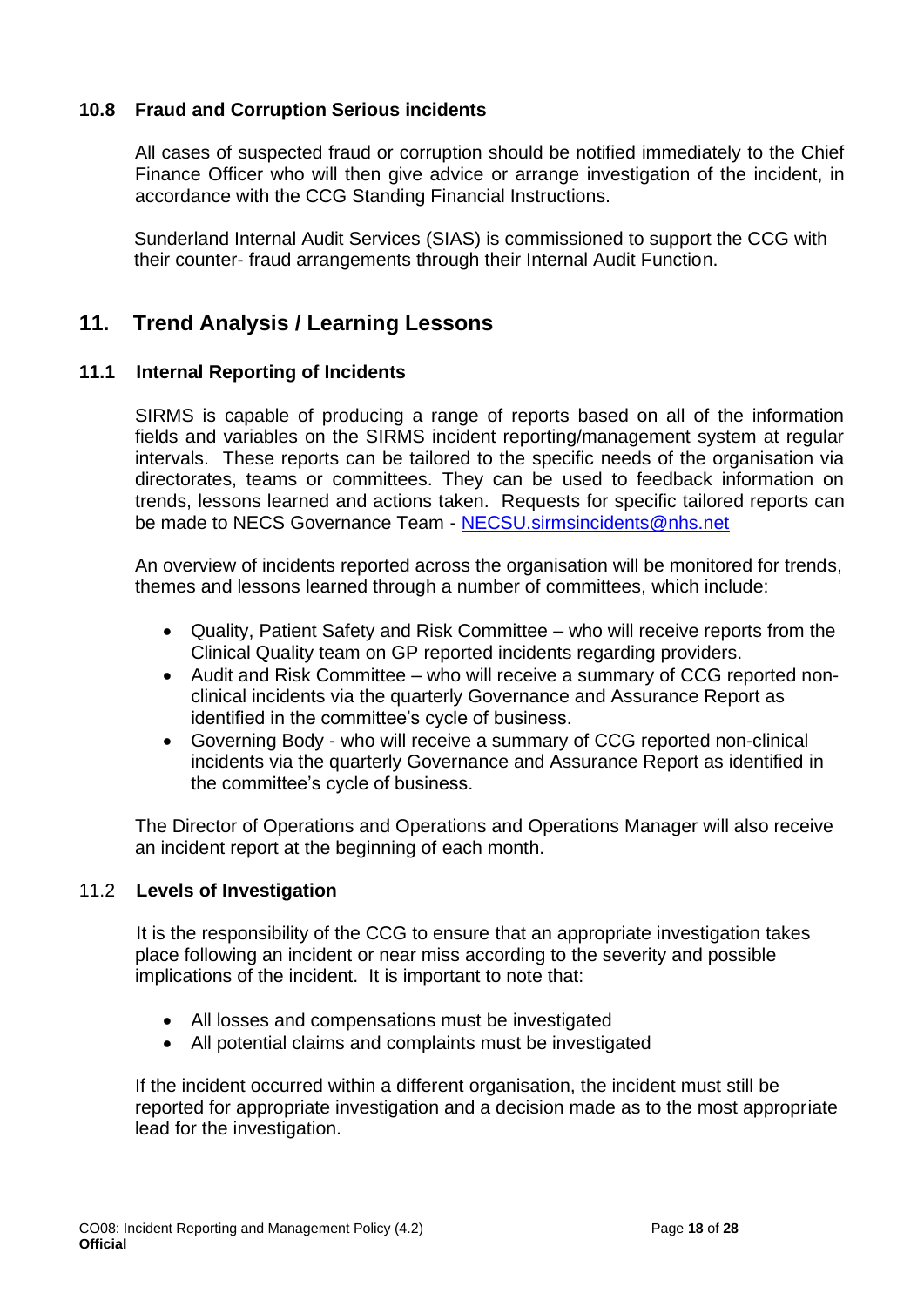#### **10.8 Fraud and Corruption Serious incidents**

All cases of suspected fraud or corruption should be notified immediately to the Chief Finance Officer who will then give advice or arrange investigation of the incident, in accordance with the CCG Standing Financial Instructions.

Sunderland Internal Audit Services (SIAS) is commissioned to support the CCG with their counter- fraud arrangements through their Internal Audit Function.

### <span id="page-17-0"></span>**11. Trend Analysis / Learning Lessons**

#### **11.1 Internal Reporting of Incidents**

SIRMS is capable of producing a range of reports based on all of the information fields and variables on the SIRMS incident reporting/management system at regular intervals. These reports can be tailored to the specific needs of the organisation via directorates, teams or committees. They can be used to feedback information on trends, lessons learned and actions taken. Requests for specific tailored reports can be made to NECS Governance Team - [NECSU.sirmsincidents@nhs.net](mailto:NECSU.sirmsincidents@nhs.net) 

An overview of incidents reported across the organisation will be monitored for trends, themes and lessons learned through a number of committees, which include:

- Quality, Patient Safety and Risk Committee who will receive reports from the Clinical Quality team on GP reported incidents regarding providers.
- Audit and Risk Committee who will receive a summary of CCG reported nonclinical incidents via the quarterly Governance and Assurance Report as identified in the committee's cycle of business.
- Governing Body who will receive a summary of CCG reported non-clinical incidents via the quarterly Governance and Assurance Report as identified in the committee's cycle of business.

The Director of Operations and Operations and Operations Manager will also receive an incident report at the beginning of each month.

#### 11.2 **Levels of Investigation**

It is the responsibility of the CCG to ensure that an appropriate investigation takes place following an incident or near miss according to the severity and possible implications of the incident. It is important to note that:

- All losses and compensations must be investigated
- All potential claims and complaints must be investigated

If the incident occurred within a different organisation, the incident must still be reported for appropriate investigation and a decision made as to the most appropriate lead for the investigation.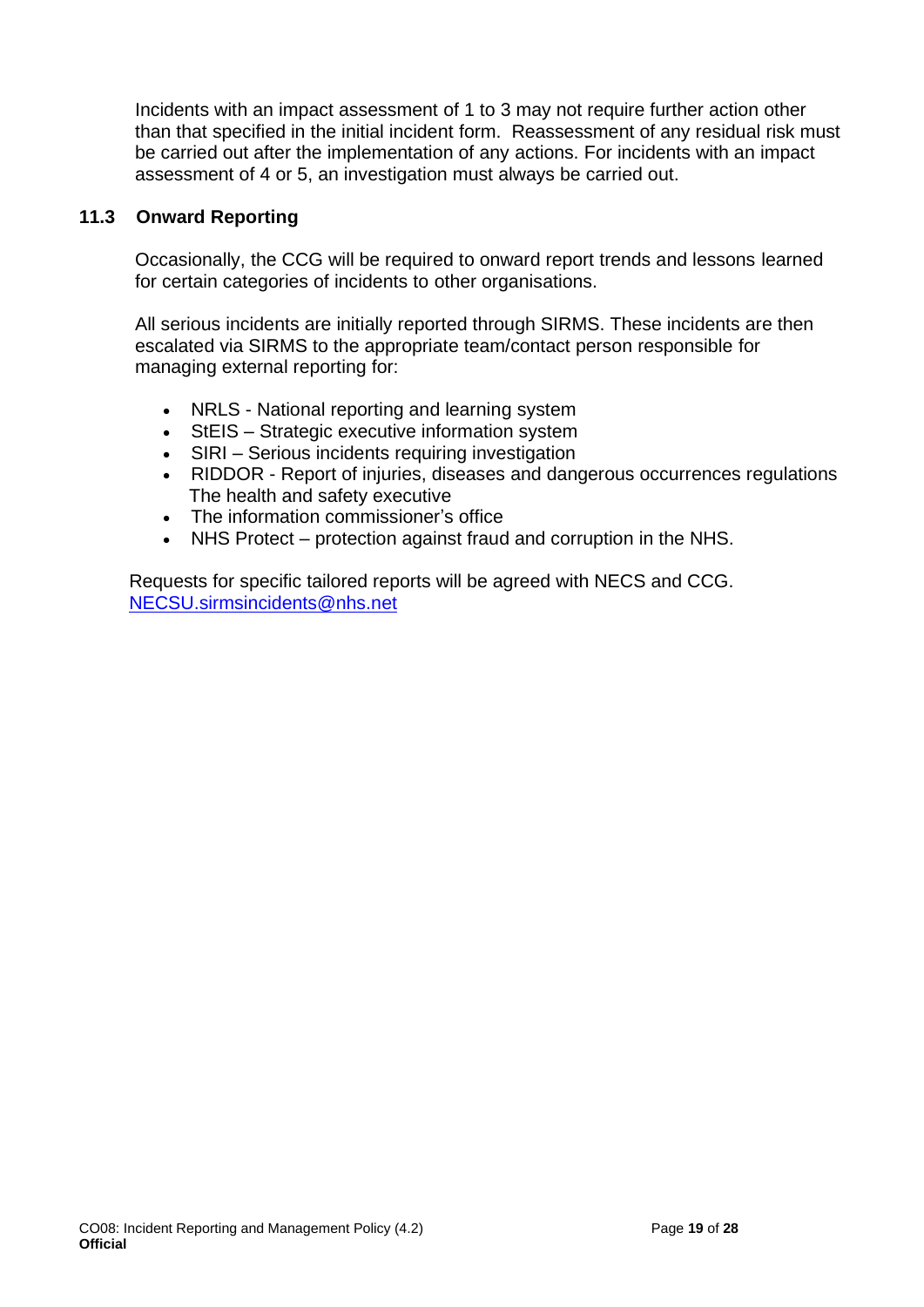Incidents with an impact assessment of 1 to 3 may not require further action other than that specified in the initial incident form. Reassessment of any residual risk must be carried out after the implementation of any actions. For incidents with an impact assessment of 4 or 5, an investigation must always be carried out.

#### **11.3 Onward Reporting**

Occasionally, the CCG will be required to onward report trends and lessons learned for certain categories of incidents to other organisations.

All serious incidents are initially reported through SIRMS. These incidents are then escalated via SIRMS to the appropriate team/contact person responsible for managing external reporting for:

- NRLS National reporting and learning system
- StEIS Strategic executive information system
- SIRI Serious incidents requiring investigation
- RIDDOR Report of injuries, diseases and dangerous occurrences regulations The health and safety executive
- The information commissioner's office
- NHS Protect protection against fraud and corruption in the NHS.

Requests for specific tailored reports will be agreed with NECS and CCG. [NECSU.sirmsincidents@nhs.net](mailto:NECSU.sirmsincidents@nhs.net)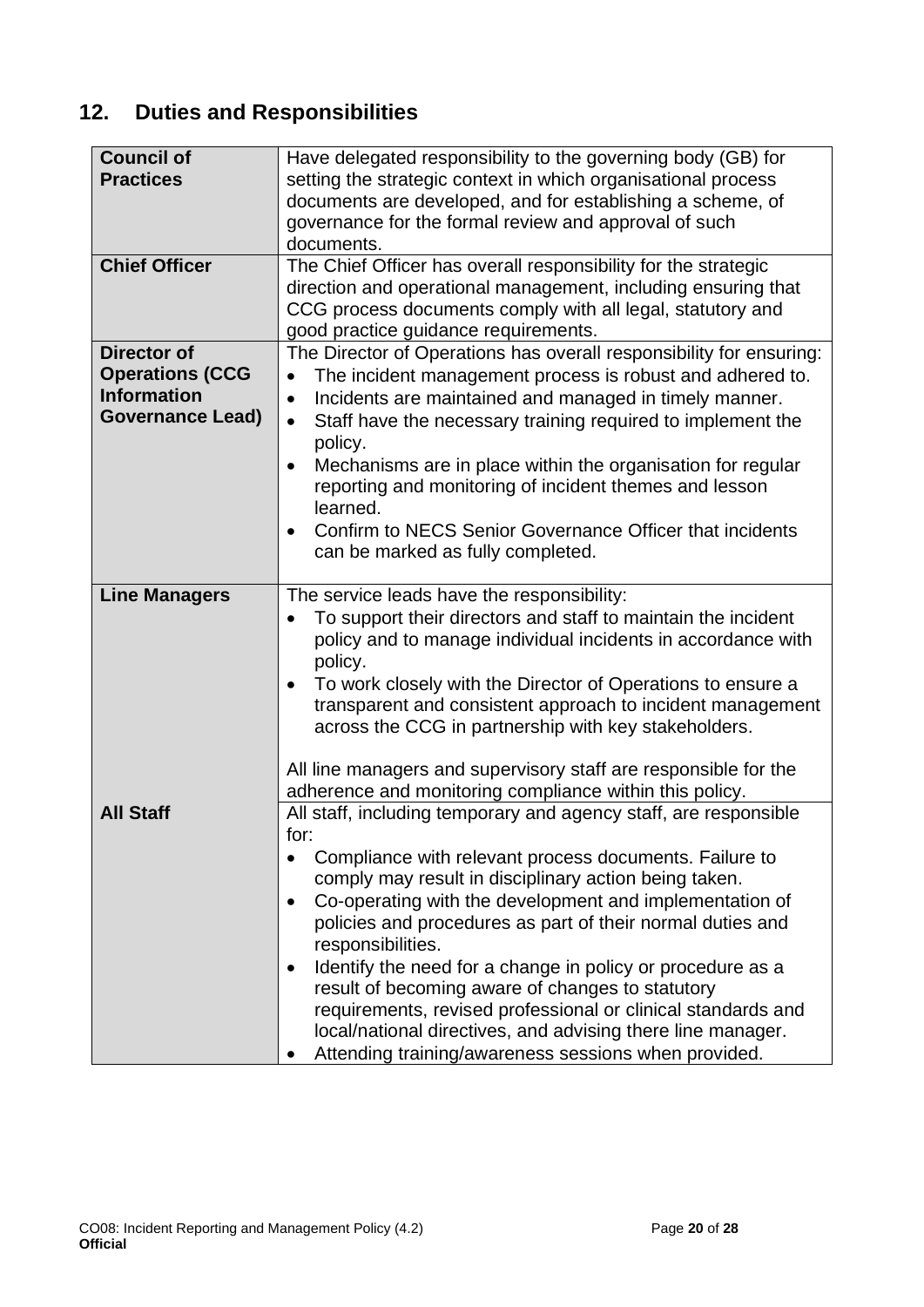## <span id="page-19-0"></span>**12. Duties and Responsibilities**

| <b>Council of</b><br><b>Practices</b>                                                         | Have delegated responsibility to the governing body (GB) for<br>setting the strategic context in which organisational process<br>documents are developed, and for establishing a scheme, of<br>governance for the formal review and approval of such<br>documents.                                                                                                                                                                                                                                                                                                                                                                                 |
|-----------------------------------------------------------------------------------------------|----------------------------------------------------------------------------------------------------------------------------------------------------------------------------------------------------------------------------------------------------------------------------------------------------------------------------------------------------------------------------------------------------------------------------------------------------------------------------------------------------------------------------------------------------------------------------------------------------------------------------------------------------|
| <b>Chief Officer</b>                                                                          | The Chief Officer has overall responsibility for the strategic<br>direction and operational management, including ensuring that<br>CCG process documents comply with all legal, statutory and<br>good practice guidance requirements.                                                                                                                                                                                                                                                                                                                                                                                                              |
| <b>Director of</b><br><b>Operations (CCG</b><br><b>Information</b><br><b>Governance Lead)</b> | The Director of Operations has overall responsibility for ensuring:<br>The incident management process is robust and adhered to.<br>Incidents are maintained and managed in timely manner.<br>Staff have the necessary training required to implement the<br>$\bullet$<br>policy.<br>Mechanisms are in place within the organisation for regular<br>٠<br>reporting and monitoring of incident themes and lesson<br>learned.<br>Confirm to NECS Senior Governance Officer that incidents<br>٠<br>can be marked as fully completed.                                                                                                                  |
| <b>Line Managers</b>                                                                          | The service leads have the responsibility:<br>To support their directors and staff to maintain the incident<br>policy and to manage individual incidents in accordance with<br>policy.<br>To work closely with the Director of Operations to ensure a<br>$\bullet$<br>transparent and consistent approach to incident management<br>across the CCG in partnership with key stakeholders.<br>All line managers and supervisory staff are responsible for the<br>adherence and monitoring compliance within this policy.                                                                                                                             |
| <b>All Staff</b>                                                                              | All staff, including temporary and agency staff, are responsible<br>for:<br>Compliance with relevant process documents. Failure to<br>comply may result in disciplinary action being taken.<br>Co-operating with the development and implementation of<br>policies and procedures as part of their normal duties and<br>responsibilities.<br>Identify the need for a change in policy or procedure as a<br>result of becoming aware of changes to statutory<br>requirements, revised professional or clinical standards and<br>local/national directives, and advising there line manager.<br>Attending training/awareness sessions when provided. |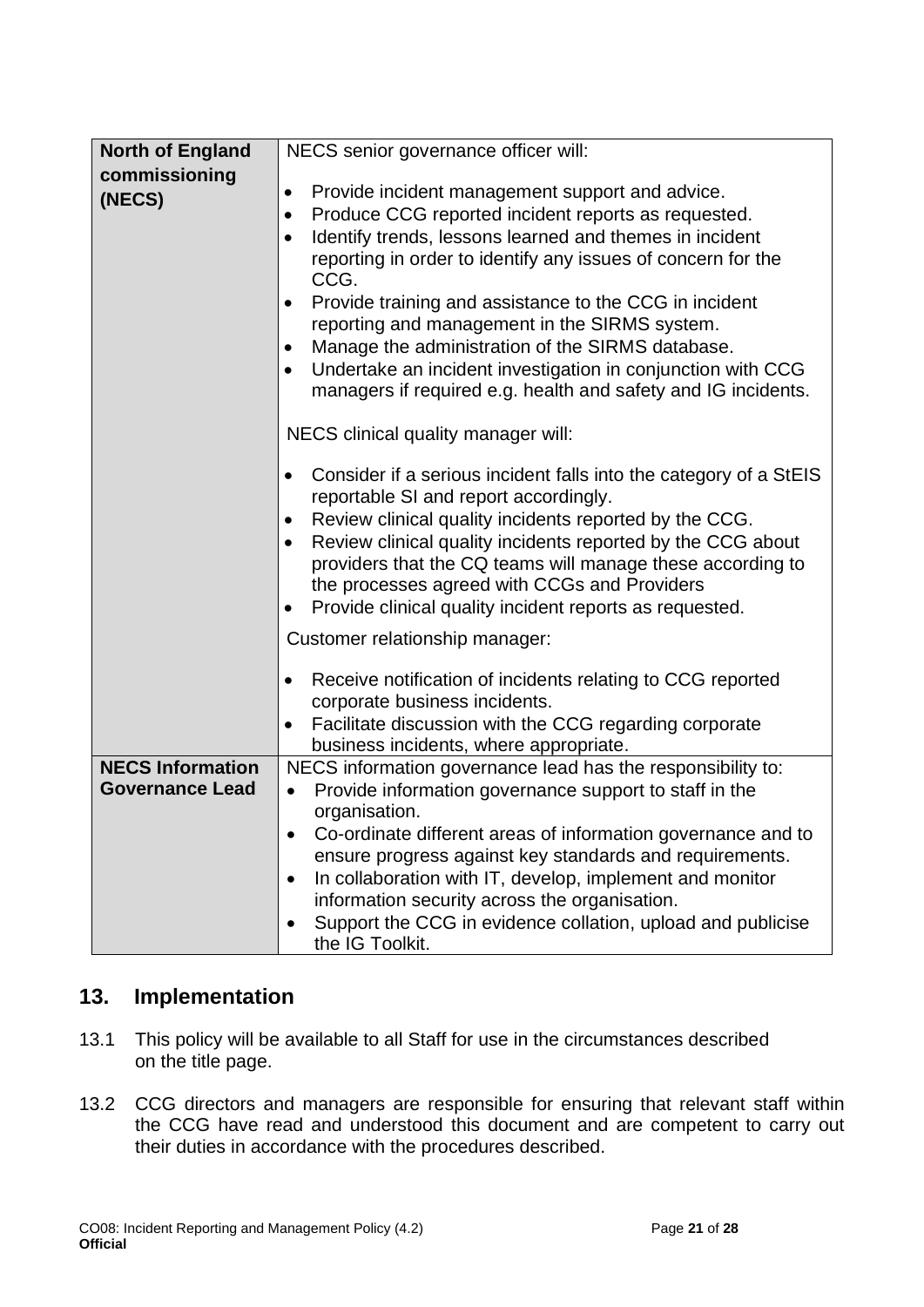| <b>North of England</b> | NECS senior governance officer will:                                                 |  |  |
|-------------------------|--------------------------------------------------------------------------------------|--|--|
| commissioning           |                                                                                      |  |  |
| (NECS)                  | Provide incident management support and advice.<br>$\bullet$                         |  |  |
|                         | Produce CCG reported incident reports as requested.<br>$\bullet$                     |  |  |
|                         | Identify trends, lessons learned and themes in incident<br>$\bullet$                 |  |  |
|                         | reporting in order to identify any issues of concern for the<br>CCG.                 |  |  |
|                         | Provide training and assistance to the CCG in incident                               |  |  |
|                         | reporting and management in the SIRMS system.                                        |  |  |
|                         | Manage the administration of the SIRMS database.                                     |  |  |
|                         | Undertake an incident investigation in conjunction with CCG<br>$\bullet$             |  |  |
|                         | managers if required e.g. health and safety and IG incidents.                        |  |  |
|                         |                                                                                      |  |  |
|                         | NECS clinical quality manager will:                                                  |  |  |
|                         | Consider if a serious incident falls into the category of a StEIS<br>$\bullet$       |  |  |
|                         | reportable SI and report accordingly.                                                |  |  |
|                         | Review clinical quality incidents reported by the CCG.<br>$\bullet$                  |  |  |
|                         | Review clinical quality incidents reported by the CCG about                          |  |  |
|                         | providers that the CQ teams will manage these according to                           |  |  |
|                         | the processes agreed with CCGs and Providers                                         |  |  |
|                         | Provide clinical quality incident reports as requested.                              |  |  |
|                         | Customer relationship manager:                                                       |  |  |
|                         | Receive notification of incidents relating to CCG reported<br>$\bullet$              |  |  |
|                         | corporate business incidents.                                                        |  |  |
|                         | Facilitate discussion with the CCG regarding corporate<br>$\bullet$                  |  |  |
|                         | business incidents, where appropriate.                                               |  |  |
| <b>NECS Information</b> | NECS information governance lead has the responsibility to:                          |  |  |
| <b>Governance Lead</b>  | Provide information governance support to staff in the<br>$\bullet$<br>organisation. |  |  |
|                         | Co-ordinate different areas of information governance and to                         |  |  |
|                         | ensure progress against key standards and requirements.                              |  |  |
|                         | In collaboration with IT, develop, implement and monitor                             |  |  |
|                         | information security across the organisation.                                        |  |  |
|                         | Support the CCG in evidence collation, upload and publicise                          |  |  |
|                         | the IG Toolkit.                                                                      |  |  |

### <span id="page-20-0"></span>**13. Implementation**

- 13.1 This policy will be available to all Staff for use in the circumstances described on the title page.
- 13.2 CCG directors and managers are responsible for ensuring that relevant staff within the CCG have read and understood this document and are competent to carry out their duties in accordance with the procedures described.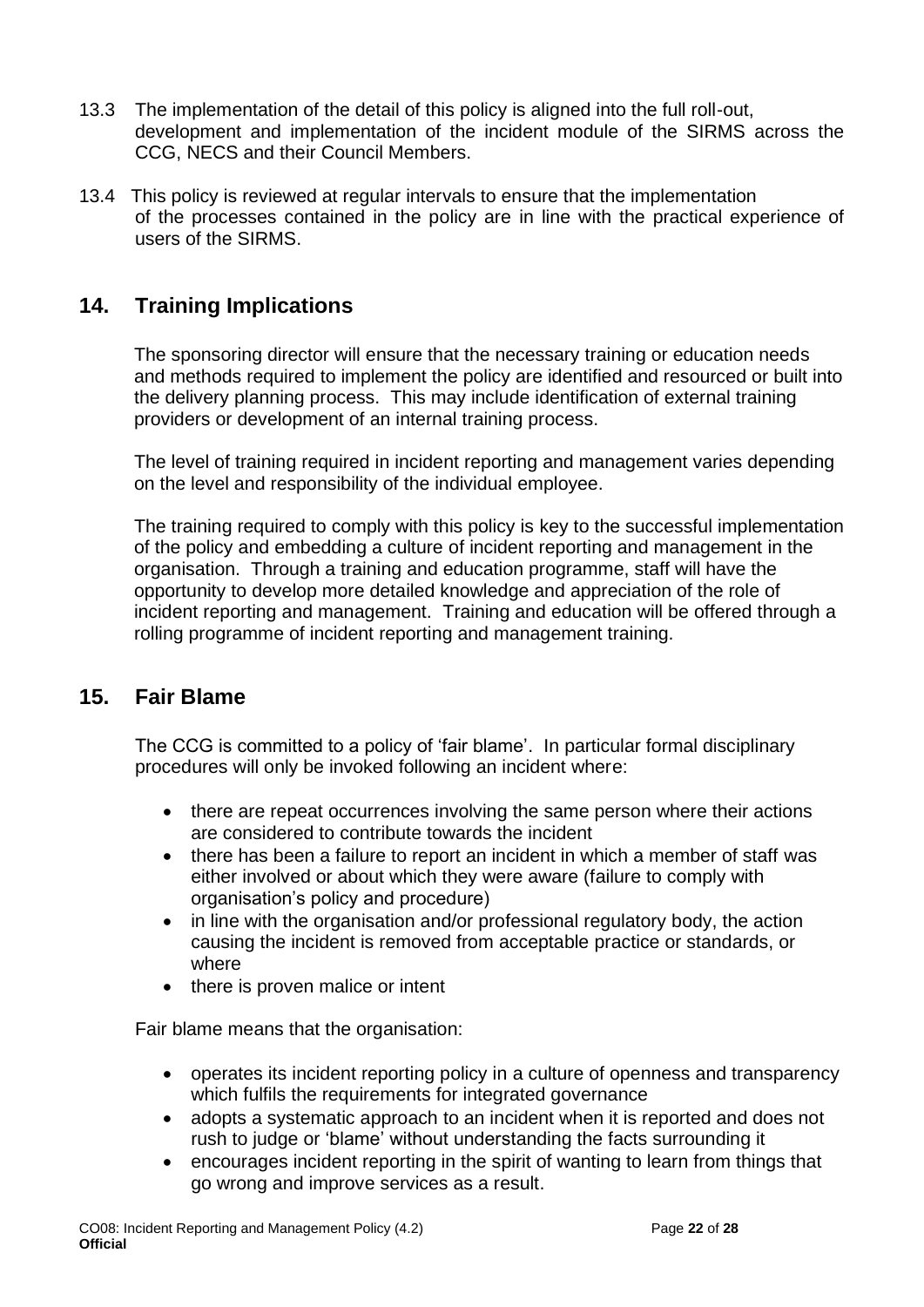- 13.3 The implementation of the detail of this policy is aligned into the full roll-out, development and implementation of the incident module of the SIRMS across the CCG, NECS and their Council Members.
- 13.4 This policy is reviewed at regular intervals to ensure that the implementation of the processes contained in the policy are in line with the practical experience of users of the SIRMS.

### <span id="page-21-0"></span>**14. Training Implications**

The sponsoring director will ensure that the necessary training or education needs and methods required to implement the policy are identified and resourced or built into the delivery planning process. This may include identification of external training providers or development of an internal training process.

The level of training required in incident reporting and management varies depending on the level and responsibility of the individual employee.

The training required to comply with this policy is key to the successful implementation of the policy and embedding a culture of incident reporting and management in the organisation. Through a training and education programme, staff will have the opportunity to develop more detailed knowledge and appreciation of the role of incident reporting and management. Training and education will be offered through a rolling programme of incident reporting and management training.

### <span id="page-21-1"></span>**15. Fair Blame**

The CCG is committed to a policy of 'fair blame'. In particular formal disciplinary procedures will only be invoked following an incident where:

- there are repeat occurrences involving the same person where their actions are considered to contribute towards the incident
- there has been a failure to report an incident in which a member of staff was either involved or about which they were aware (failure to comply with organisation's policy and procedure)
- in line with the organisation and/or professional regulatory body, the action causing the incident is removed from acceptable practice or standards, or where
- there is proven malice or intent

Fair blame means that the organisation:

- operates its incident reporting policy in a culture of openness and transparency which fulfils the requirements for integrated governance
- adopts a systematic approach to an incident when it is reported and does not rush to judge or 'blame' without understanding the facts surrounding it
- encourages incident reporting in the spirit of wanting to learn from things that go wrong and improve services as a result.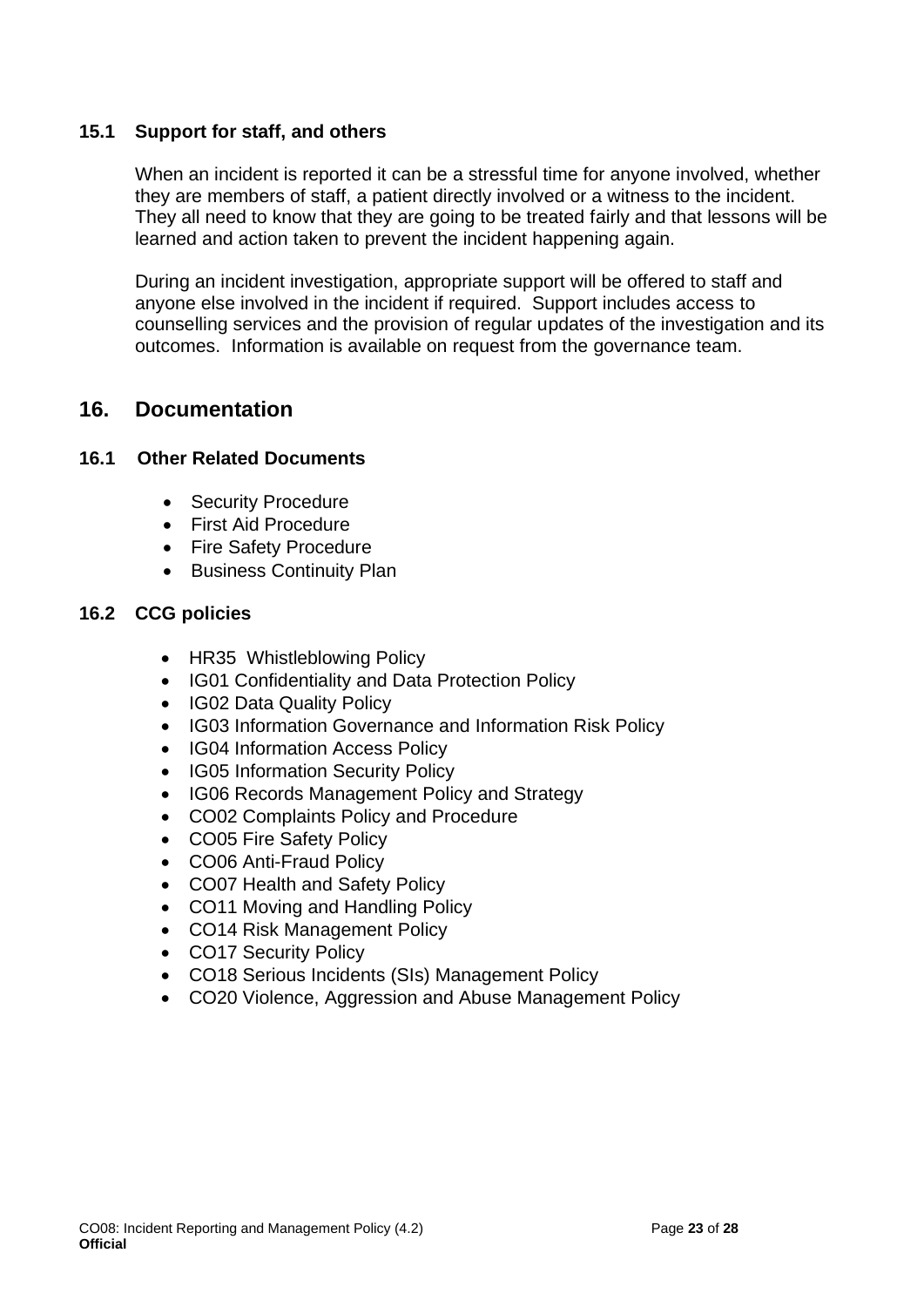#### **15.1 Support for staff, and others**

When an incident is reported it can be a stressful time for anyone involved, whether they are members of staff, a patient directly involved or a witness to the incident. They all need to know that they are going to be treated fairly and that lessons will be learned and action taken to prevent the incident happening again.

During an incident investigation, appropriate support will be offered to staff and anyone else involved in the incident if required. Support includes access to counselling services and the provision of regular updates of the investigation and its outcomes. Information is available on request from the governance team.

### <span id="page-22-0"></span>**16. Documentation**

#### **16.1 Other Related Documents**

- Security Procedure
- First Aid Procedure
- Fire Safety Procedure
- Business Continuity Plan

#### **16.2 CCG policies**

- HR35 Whistleblowing Policy
- IG01 Confidentiality and Data Protection Policy
- IG02 Data Quality Policy
- IG03 Information Governance and Information Risk Policy
- IG04 Information Access Policy
- IG05 Information Security Policy
- IG06 Records Management Policy and Strategy
- CO02 Complaints Policy and Procedure
- CO05 Fire Safety Policy
- CO06 Anti-Fraud Policy
- CO07 Health and Safety Policy
- CO11 Moving and Handling Policy
- CO14 Risk Management Policy
- CO17 Security Policy
- CO18 Serious Incidents (SIs) Management Policy
- CO20 Violence, Aggression and Abuse Management Policy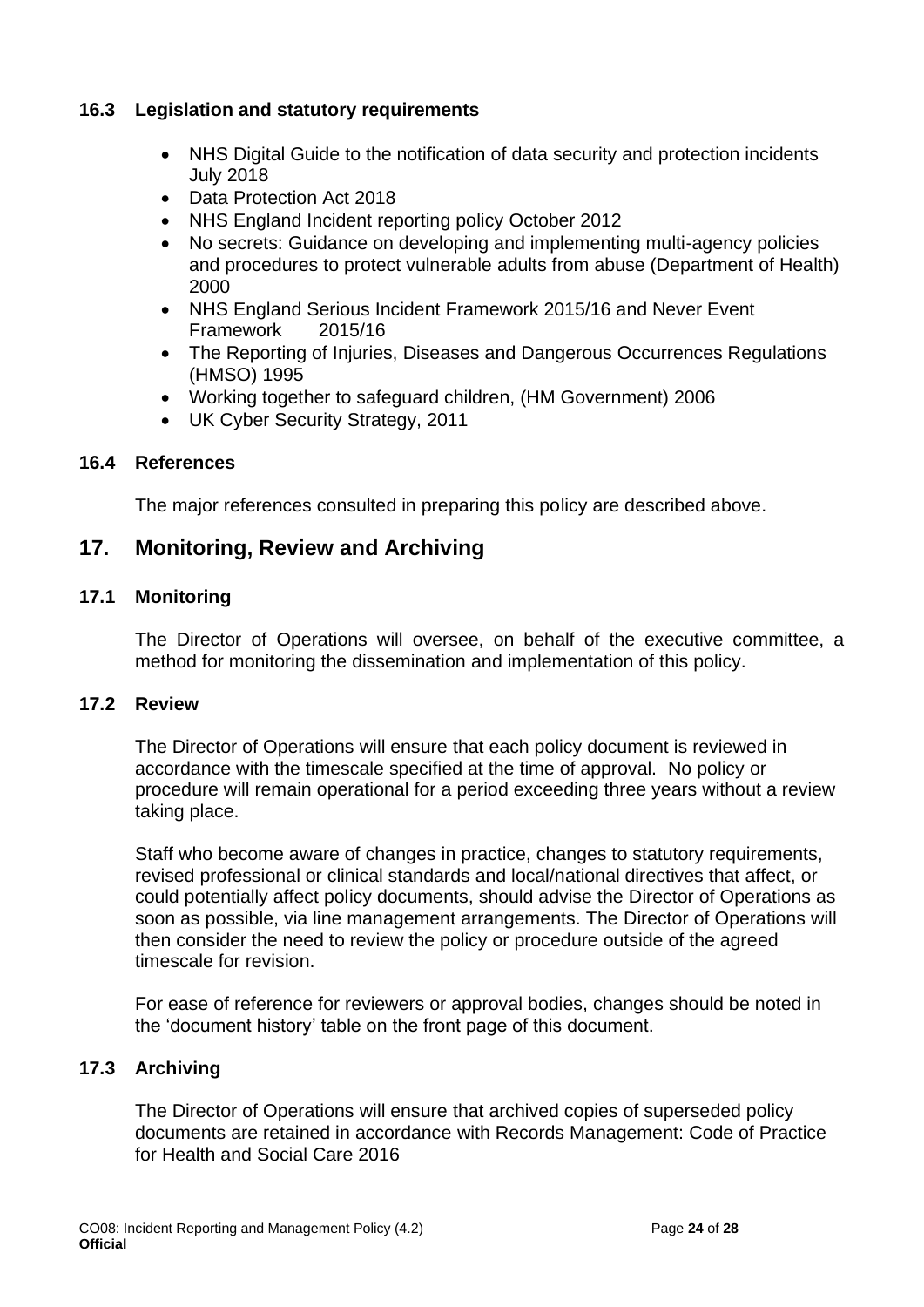#### **16.3 Legislation and statutory requirements**

- NHS Digital Guide to the notification of data security and protection incidents July 2018
- Data Protection Act 2018
- NHS England Incident reporting policy October 2012
- No secrets: Guidance on developing and implementing multi-agency policies and procedures to protect vulnerable adults from abuse (Department of Health) 2000
- NHS England Serious Incident Framework 2015/16 and Never Event Framework 2015/16
- The Reporting of Injuries, Diseases and Dangerous Occurrences Regulations (HMSO) 1995
- Working together to safeguard children, (HM Government) 2006
- UK Cyber Security Strategy, 2011

#### **16.4 References**

The major references consulted in preparing this policy are described above.

#### <span id="page-23-0"></span>**17. Monitoring, Review and Archiving**

#### **17.1 Monitoring**

The Director of Operations will oversee, on behalf of the executive committee, a method for monitoring the dissemination and implementation of this policy.

#### **17.2 Review**

The Director of Operations will ensure that each policy document is reviewed in accordance with the timescale specified at the time of approval. No policy or procedure will remain operational for a period exceeding three years without a review taking place.

Staff who become aware of changes in practice, changes to statutory requirements, revised professional or clinical standards and local/national directives that affect, or could potentially affect policy documents, should advise the Director of Operations as soon as possible, via line management arrangements. The Director of Operations will then consider the need to review the policy or procedure outside of the agreed timescale for revision.

For ease of reference for reviewers or approval bodies, changes should be noted in the 'document history' table on the front page of this document.

#### **17.3 Archiving**

The Director of Operations will ensure that archived copies of superseded policy documents are retained in accordance with Records Management: Code of Practice for Health and Social Care 2016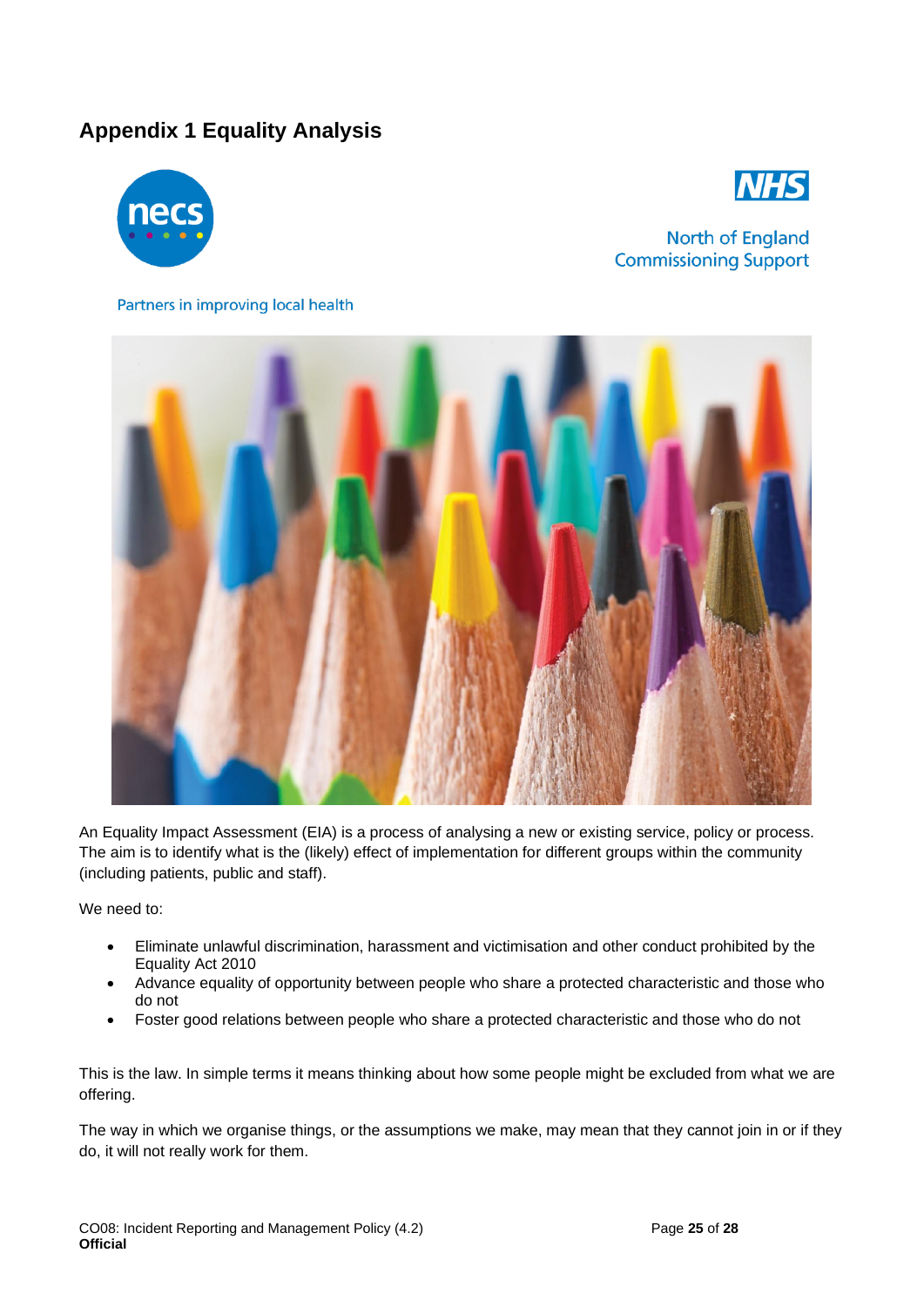### <span id="page-24-0"></span>**Appendix 1 Equality Analysis**





North of England **Commissioning Support** 

#### Partners in improving local health



An Equality Impact Assessment (EIA) is a process of analysing a new or existing service, policy or process. The aim is to identify what is the (likely) effect of implementation for different groups within the community (including patients, public and staff).

We need to:

- Eliminate unlawful discrimination, harassment and victimisation and other conduct prohibited by the Equality Act 2010
- Advance equality of opportunity between people who share a protected characteristic and those who do not
- Foster good relations between people who share a protected characteristic and those who do not

This is the law. In simple terms it means thinking about how some people might be excluded from what we are offering.

The way in which we organise things, or the assumptions we make, may mean that they cannot join in or if they do, it will not really work for them.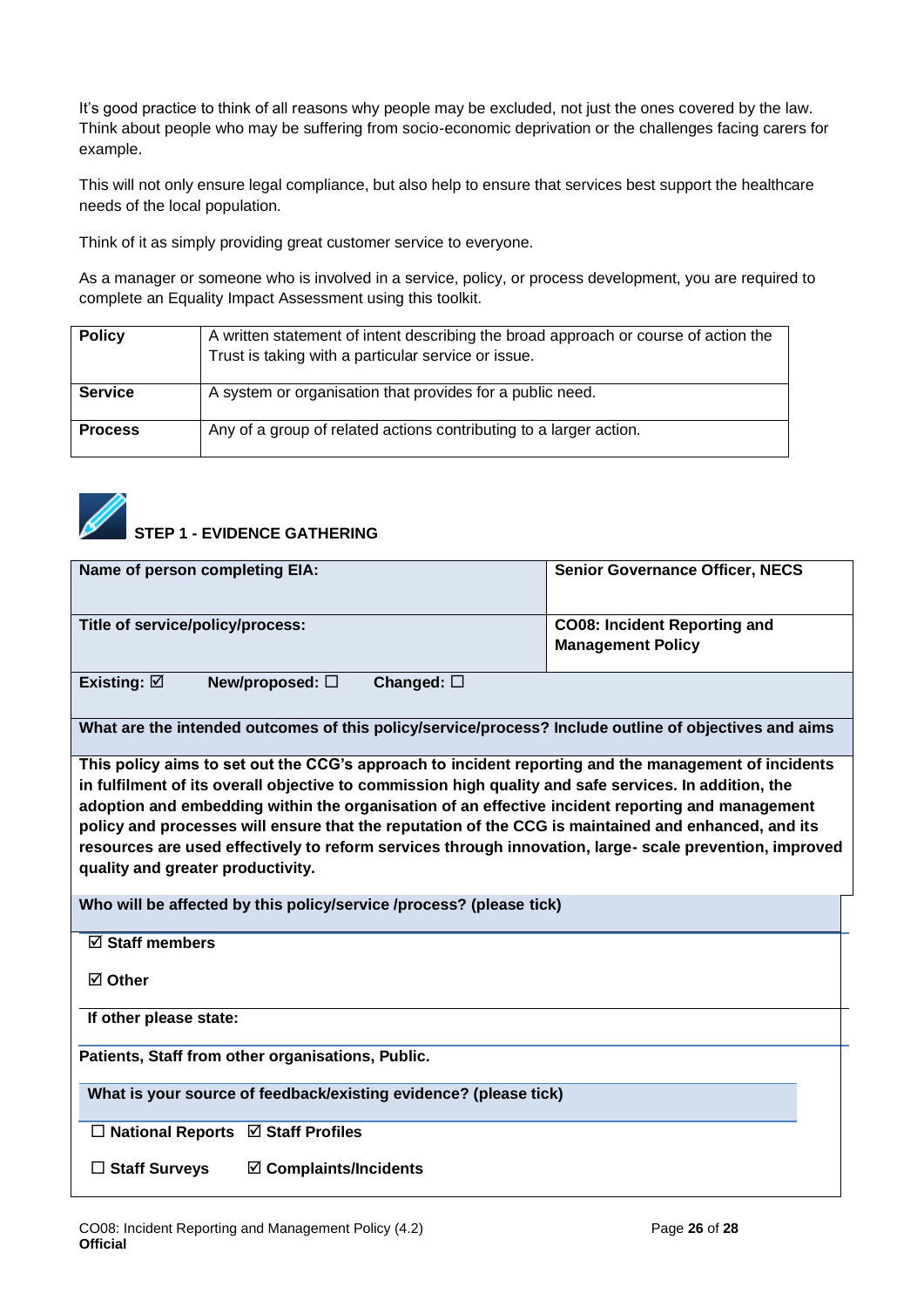It's good practice to think of all reasons why people may be excluded, not just the ones covered by the law. Think about people who may be suffering from socio-economic deprivation or the challenges facing carers for example.

This will not only ensure legal compliance, but also help to ensure that services best support the healthcare needs of the local population.

Think of it as simply providing great customer service to everyone.

As a manager or someone who is involved in a service, policy, or process development, you are required to complete an Equality Impact Assessment using this toolkit.

| <b>Policy</b>  | A written statement of intent describing the broad approach or course of action the<br>Trust is taking with a particular service or issue. |
|----------------|--------------------------------------------------------------------------------------------------------------------------------------------|
| <b>Service</b> | A system or organisation that provides for a public need.                                                                                  |
| <b>Process</b> | Any of a group of related actions contributing to a larger action.                                                                         |



| Name of person completing EIA:                                                                        | <b>Senior Governance Officer, NECS</b> |
|-------------------------------------------------------------------------------------------------------|----------------------------------------|
| Title of service/policy/process:                                                                      | <b>CO08: Incident Reporting and</b>    |
|                                                                                                       | <b>Management Policy</b>               |
| Existing: $\boxtimes$<br>New/proposed: $\square$<br>Changed: $\square$                                |                                        |
| What are the intended outcomes of this policy/service/process? Include outline of objectives and aims |                                        |
| This policy aims to set out the CCG's approach to incident reporting and the management of incidents  |                                        |

**in fulfilment of its overall objective to commission high quality and safe services. In addition, the adoption and embedding within the organisation of an effective incident reporting and management policy and processes will ensure that the reputation of the CCG is maintained and enhanced, and its resources are used effectively to reform services through innovation, large- scale prevention, improved quality and greater productivity.**

**Who will be affected by this policy/service /process? (please tick)**

**Staff members** 

**Other**

**If other please state:**

**Patients, Staff from other organisations, Public.**

**What is your source of feedback/existing evidence? (please tick)**

**National Reports Staff Profiles**

**Staff Surveys Complaints/Incidents**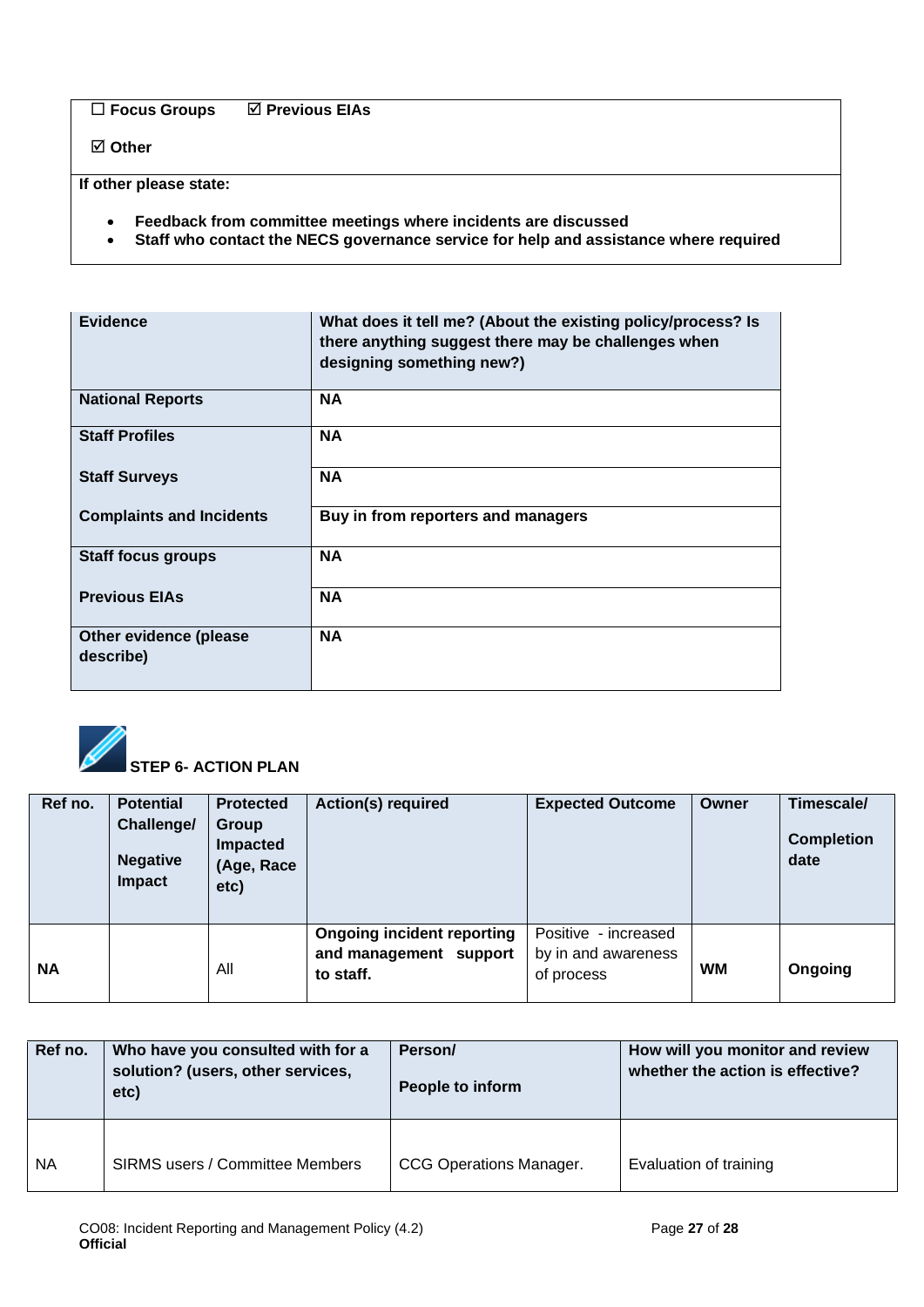**Focus Groups Previous EIAs** 

**Other**

**If other please state:**

- **Feedback from committee meetings where incidents are discussed**
- **Staff who contact the NECS governance service for help and assistance where required**

| <b>Evidence</b>                     | What does it tell me? (About the existing policy/process? Is<br>there anything suggest there may be challenges when<br>designing something new?) |
|-------------------------------------|--------------------------------------------------------------------------------------------------------------------------------------------------|
| <b>National Reports</b>             | <b>NA</b>                                                                                                                                        |
| <b>Staff Profiles</b>               | <b>NA</b>                                                                                                                                        |
| <b>Staff Surveys</b>                | <b>NA</b>                                                                                                                                        |
| <b>Complaints and Incidents</b>     | Buy in from reporters and managers                                                                                                               |
| <b>Staff focus groups</b>           | <b>NA</b>                                                                                                                                        |
| <b>Previous EIAs</b>                | <b>NA</b>                                                                                                                                        |
| Other evidence (please<br>describe) | <b>NA</b>                                                                                                                                        |



| Ref no.   | <b>Potential</b><br>Challenge/<br><b>Negative</b><br>Impact | <b>Protected</b><br>Group<br>Impacted<br>(Age, Race<br>etc) | <b>Action(s) required</b>                                                | <b>Expected Outcome</b>                                   | Owner     | Timescale/<br><b>Completion</b><br>date |
|-----------|-------------------------------------------------------------|-------------------------------------------------------------|--------------------------------------------------------------------------|-----------------------------------------------------------|-----------|-----------------------------------------|
| <b>NA</b> |                                                             | All                                                         | <b>Ongoing incident reporting</b><br>and management support<br>to staff. | Positive - increased<br>by in and awareness<br>of process | <b>WM</b> | Ongoing                                 |

| Ref no. | Who have you consulted with for a<br>solution? (users, other services,<br>etc) | Person/<br>People to inform    | How will you monitor and review<br>whether the action is effective? |
|---------|--------------------------------------------------------------------------------|--------------------------------|---------------------------------------------------------------------|
| NA      | <b>SIRMS users / Committee Members</b>                                         | <b>CCG Operations Manager.</b> | Evaluation of training                                              |